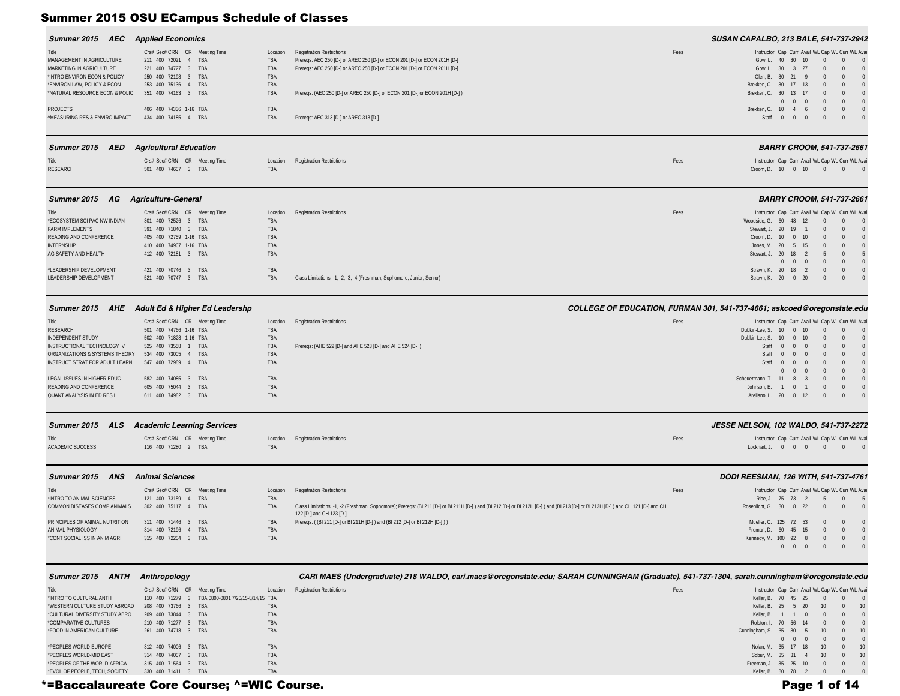| <b>AEC</b><br><b>Applied Economics</b><br><b>Summer 2015</b> |            |                                                                              |      |                                                   |                                              |
|--------------------------------------------------------------|------------|------------------------------------------------------------------------------|------|---------------------------------------------------|----------------------------------------------|
| Crs# Sec# CRN CR Meeting Time                                | Location   | <b>Registration Restrictions</b>                                             | Fees | Instructor Cap Curr Avail WL Cap WL Curr WL Avail |                                              |
| 211 400 72021 4 TBA                                          | <b>TBA</b> | Prereqs: AEC 250 [D-] or AREC 250 [D-] or ECON 201 [D-] or ECON 201H [D-]    |      | Gow. L. 40 30 10<br>$0\qquad 0\qquad 0$           |                                              |
| 221 400 74727 3 TBA                                          | <b>TBA</b> | Prereqs: AEC 250 [D-] or AREC 250 [D-] or ECON 201 [D-] or ECON 201H [D-]    |      | Gow. L. 30 3 27<br>$0\qquad 0\qquad 0$            |                                              |
| 250 400 72198 3 TBA                                          | TBA        |                                                                              |      | Olen. B. 30 21 9                                  | $\begin{matrix} 0 & 0 \end{matrix}$          |
| 253 400 75136 4 TBA                                          | <b>TBA</b> |                                                                              |      | Brekken. C. 30 17 13 0 0 0                        |                                              |
| 351 400 74163 3 TBA                                          | <b>TBA</b> | Preregs: (AEC 250 [D-] or AREC 250 [D-] or ECON 201 [D-] or ECON 201H [D-] ) |      | Brekken, C. 30 13 17 0 0 0                        |                                              |
|                                                              |            |                                                                              |      | $0\qquad 0\qquad 0$<br>$0 \quad 0 \quad 0$        |                                              |
| 406 400 74336 1-16 TBA                                       | TBA        |                                                                              |      | Brekken, C. 10 4 6                                | $0\qquad 0$                                  |
| 434 400 74185 4 TBA                                          | <b>TBA</b> | Preregs: AEC 313 [D-] or AREC 313 [D-]                                       |      | Staff<br>$0\quad 0\quad 0$                        | $0\qquad 0$                                  |
|                                                              |            |                                                                              |      |                                                   | <b>SUSAN CAPALBO, 213 BALE, 541-737-2942</b> |

### *Summer 2015 AED Agricultural Education BARRY CROOM, 541-737-2661*

| Title           | Crs# Sec# CRN CR Meeting Time | Location Registration Restrictions | Fees | Instructor Cap Curr Avail WL Cap WL Curr WL Avail |
|-----------------|-------------------------------|------------------------------------|------|---------------------------------------------------|
| <b>RESEARCH</b> | 501 400 74607 3 TBA           |                                    |      | Croom. D. 10 0 10 0 0 0 0                         |

### *Summer 2015 AG Agriculture-General BARRY CROOM, 541-737-2661*

| Title                          | Crs# Sec# CRN CR Meeting Time | Location   | <b>Registration Restrictions</b>                                        | Fees | Instructor Cap Curr Avail WL Cap WL Curr WL Avail |                     |  |              |
|--------------------------------|-------------------------------|------------|-------------------------------------------------------------------------|------|---------------------------------------------------|---------------------|--|--------------|
| *ECOSYSTEM SCI PAC NW INDIAN   | 301 400 72526 3 TBA           | TBA        |                                                                         |      | Woodside. G. 60 48 12                             |                     |  | $0\qquad 0$  |
| <b>FARM IMPLEMENTS</b>         | 391 400 71840 3 TBA           | TBA        |                                                                         |      | Stewart, J. 20 19 1                               |                     |  | $0\qquad 0$  |
| READING AND CONFERENCE         | 405 400 72759 1-16 TBA        | TBA        |                                                                         |      | Croom. D. 10 0 10                                 |                     |  | $0\qquad 0$  |
| <b>INTERNSHIP</b>              | 410 400 74907 1-16 TBA        | TBA        |                                                                         |      | Jones. M. 20 5 15                                 |                     |  | $0\qquad 0$  |
| AG SAFETY AND HEALTH           | 412 400 72181 3 TBA           | TBA        |                                                                         |      | Stewart, J. 20 18 2                               |                     |  |              |
|                                |                               |            |                                                                         |      |                                                   | $0 \quad 0 \quad 0$ |  | $\sim$ 0     |
| <b>^LEADERSHIP DEVELOPMENT</b> | 421 400 70746 3 TBA           | TBA        |                                                                         |      | Strawn, K. 20 18 2                                |                     |  | $0 \qquad 0$ |
| LEADERSHIP DEVELOPMENT         | 521 400 70747 3 TBA           | <b>TBA</b> | Class Limitations: -1, -2, -3, -4 (Freshman, Sophomore, Junior, Senior) |      | Strawn, K. 20 0 20                                |                     |  | $0 \qquad 0$ |

## *Summer 2015 AHE Adult Ed & Higher Ed Leadershp COLLEGE OF EDUCATION, FURMAN 301, 541-737-4661; askcoed@oregonstate.edu*

| Title                             | Crs# Sec# CRN CR Meeting Time | Location   | <b>Registration Restrictions</b>                           | Fees | Instructor Cap Curr Avail WL Cap WL Curr WL Avai |                     |            |             |                |
|-----------------------------------|-------------------------------|------------|------------------------------------------------------------|------|--------------------------------------------------|---------------------|------------|-------------|----------------|
| RESEARCH                          | 501 400 74766 1-16 TBA        | <b>TBA</b> |                                                            |      | Dubkin-Lee, S. 10 0 10                           |                     |            |             | $\Omega$       |
| <b>INDEPENDENT STUDY</b>          | 502 400 71828 1-16 TBA        | <b>TBA</b> |                                                            |      | Dubkin-Lee, S. 10 0 10                           |                     | $\Omega$   | $0\qquad 0$ |                |
| INSTRUCTIONAL TECHNOLOGY IV       | 525 400 73558 1 TBA           | TBA        | Preregs: (AHE 522 [D-] and AHE 523 [D-] and AHE 524 [D-] ) |      | Staff 0 0 0                                      |                     |            |             | $\sim$ 0       |
| ORGANIZATIONS & SYSTEMS THEORY    | 534 400 73005 4 TBA           | <b>TBA</b> |                                                            |      | Staff 0 0 0                                      |                     |            |             | $\sim$ 0       |
| INSTRUCT STRAT FOR ADULT LEARN    | 547 400 72989 4 TBA           | <b>TBA</b> |                                                            |      | Staff 0 0 0                                      |                     |            |             | $\sim$ 0       |
|                                   |                               |            |                                                            |      |                                                  | $0 \quad 0 \quad 0$ | $^{\circ}$ | $0\qquad 0$ |                |
| LEGAL ISSUES IN HIGHER EDUC       | 582 400 74085 3 TBA           | <b>TBA</b> |                                                            |      | Scheuermann, T. 11 8 3                           |                     | $\Omega$   |             | $\sim$ 0       |
| READING AND CONFERENCE            | 605 400 75044 3 TBA           | <b>TBA</b> |                                                            |      | Johnson, E. 1                                    | $\bigcirc$          |            |             |                |
| <b>QUANT ANALYSIS IN ED RES I</b> | 611 400 74982 3 TBA           | <b>TBA</b> |                                                            |      | Arellano. L. 20 8 12                             |                     |            |             | $\overline{0}$ |
|                                   |                               |            |                                                            |      |                                                  |                     |            |             |                |

|                         | Summer 2015 ALS Academic Learning Services |                                    |      | <b>JESSE NELSON. 102 WALDO. 541-737-2272</b>      |
|-------------------------|--------------------------------------------|------------------------------------|------|---------------------------------------------------|
| Title                   | Crs# Sec# CRN CR Meeting Time              | Location Registration Restrictions | Fees | Instructor Cap Curr Avail WL Cap WL Curr WL Avail |
| <b>ACADEMIC SUCCESS</b> | 116 400 71280 2 TBA                        |                                    |      | Lockhart. J. 0 0 0 0 0 0 0                        |

# *Summer 2015 ANS Animal Sciences DODI REESMAN, 126 WITH, 541-737-4761*

| Title                          | Crs# Sec# CRN CR Meeting Time |            | Location Registration Restrictions                                                                                                                                                                             | Fees | Instructor Cap Curr Avail WL Cap WL Curr WL Avai |  |             |  |
|--------------------------------|-------------------------------|------------|----------------------------------------------------------------------------------------------------------------------------------------------------------------------------------------------------------------|------|--------------------------------------------------|--|-------------|--|
| *INTRO TO ANIMAL SCIENCES      | 121 400 73159 4 TBA           | TBA        |                                                                                                                                                                                                                |      | Rice. J. 75 73 2 5 0 5                           |  |             |  |
| COMMON DISEASES COMP ANIMALS   | 302 400 75117 4 TBA           | <b>TBA</b> | Class Limitations: -1, -2 (Freshman, Sophomore); Prereqs: (BI 211 [D-] or BI 211H [D-]) and (BI 212 [D-] or BI 212H [D-]) and (BI 213 [D-] or BI 213H [D-]) and CH 121 [D-] and CH<br>122 [D-] and CH 123 [D-] |      | Rosenlicht. G. 30 8 22 0 0 0                     |  |             |  |
| PRINCIPLES OF ANIMAL NUTRITION | 311 400 71446 3 TBA           | <b>TBA</b> | Preregs: ((BI 211 [D-] or BI 211H [D-]) and (BI 212 [D-] or BI 212H [D-]))                                                                                                                                     |      | Mueller. C. 125 72 53 0 0 0                      |  |             |  |
| ANIMAL PHYSIOLOGY              | 314 400 72196 4 TBA           | <b>TBA</b> |                                                                                                                                                                                                                |      | Froman. D. 60 45 15 0 0 0                        |  |             |  |
| *CONT SOCIAL ISS IN ANIM AGRI  | 315 400 72204 3 TBA           | TBA        |                                                                                                                                                                                                                |      | Kennedy, M. 100 92 8 0 0 0                       |  |             |  |
|                                |                               |            |                                                                                                                                                                                                                |      | $0\quad 0\quad 0\quad 0$                         |  | $0\qquad 0$ |  |

# *Summer 2015 ANTH Anthropology CARI MAES (Undergraduate) 218 WALDO, cari.maes@oregonstate.edu; SARAH CUNNINGHAM (Graduate), 541-737-1304, sarah.cunningham@oregonstate.edu*

| Title                          | Crs# Sec# CRN CR Meeting Time | Location                          | <b>Registration Restrictions</b> | Fees | Instructor Cap Curr Avail WL Cap WL Curr WL Avail |
|--------------------------------|-------------------------------|-----------------------------------|----------------------------------|------|---------------------------------------------------|
| *INTRO TO CULTURAL ANTH        | 110 400 71279 3               | TBA 0800-0801 7/20/15-8/14/15 TBA |                                  |      | Kellar, B. 70 45 25                               |
| *WESTERN CULTURE STUDY ABROAD  | 208 400 73766 3 TBA           | TBA                               |                                  |      | Kellar, B. 25 5 20<br>10<br>10                    |
| *CULTURAL DIVERSITY STUDY ABRO | 209 400 73844 3 TBA           | TBA                               |                                  |      | Kellar, B. 1 1<br>$\overline{0}$                  |
| *COMPARATIVE CULTURES          | 210 400 71277 3 TBA           | TBA                               |                                  |      | Rolston. I. 70 56 14                              |
| *FOOD IN AMERICAN CULTURE      | 261 400 74718 3 TBA           | TBA                               |                                  |      | Cunningham, S. 35 30 5<br>10<br>$0$ 10            |
|                                |                               |                                   |                                  |      | $0 \quad 0 \quad 0$                               |
| *PEOPLES WORLD-EUROPE          | 312 400 74006 3 TBA           | TBA                               |                                  |      | Nolan, M. 35 17 18<br>10 <sup>10</sup><br>10      |
| *PEOPLES WORLD-MID EAST        | 314 400 74007 3 TBA           | TBA                               |                                  |      | Sobur, M. 35 31 4<br>10<br>10                     |
| *PEOPLES OF THE WORLD-AFRICA   | 315 400 71564 3 TBA           | TBA                               |                                  |      | Freeman. J. 35 25 10                              |
| *EVOL OF PEOPLE. TECH. SOCIETY | 330 400 71411 3 TBA           | TBA                               |                                  |      | Kellar, B. 80 78 2                                |

# \*=Baccalaureate Core Course; ^=WIC Course. Page 1 of 14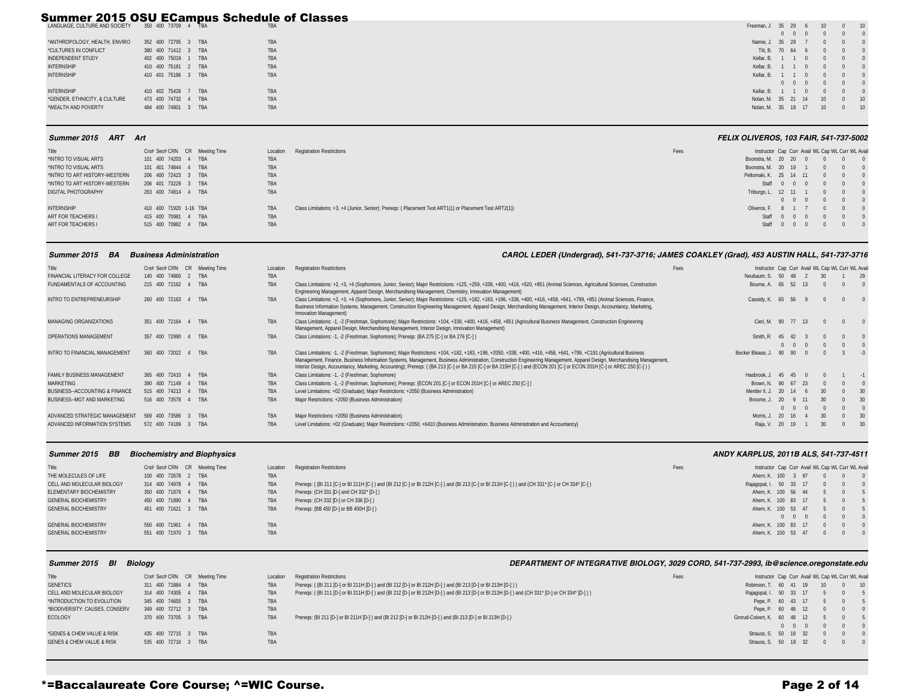| LANGUAGE, CULTURE AND SOCIETY 350 400 73709 4 TBA |                     | <b>TRA</b> | Freeman. J. 35 29 6   |                                              | $-10$ | $0 \t 10$     |          |
|---------------------------------------------------|---------------------|------------|-----------------------|----------------------------------------------|-------|---------------|----------|
|                                                   |                     |            | $0 \quad 0 \quad 0$   |                                              |       |               | $\sim$ 0 |
| *ANTHROPOLOGY, HEALTH, ENVIRO                     | 352 400 72795 3 TBA | <b>TBA</b> | Namie, J. 35 28 7     |                                              |       | $\mathbf{0}$  | $\sim$ 0 |
| *CULTURES IN CONFLICT                             | 380 400 71412 3 TBA | <b>TBA</b> | Tilt. B. 70 64 6      |                                              |       | $0\qquad 0$   |          |
| INDEPENDENT STUDY                                 | 402 400 75019 1 TBA | <b>TBA</b> | Kellar, B. 1 1 0      |                                              |       | $0\qquad 0$   |          |
| <b>INTERNSHIP</b>                                 | 410 400 75181 2 TBA | <b>TBA</b> | Kellar, B. 1 1        | $\begin{array}{ccc} \n & & 0 \n \end{array}$ |       | $0\qquad 0$   |          |
| <b>INTERNSHIP</b>                                 | 410 401 75186 3 TBA | TBA        | Kellar, B. 1 1        | $\overline{0}$                               |       | $\Omega$      | $\sim$ 0 |
|                                                   |                     |            | $0\quad 0\quad 0$     |                                              |       | $\Omega$      | $\sim$ 0 |
| <b>INTERNSHIP</b>                                 | 410 402 75426 7 TBA | <b>TBA</b> | Kellar, B. 1 1        | $\begin{array}{ccc} \n & & 0 \n \end{array}$ |       | $0\qquad 0$   |          |
| *GENDER, ETHNICITY, & CULTURE                     | 473 400 74732 4 TBA | <b>TBA</b> | Nolan, M. 35 21 14 10 |                                              |       | $0 \qquad 10$ |          |
| *WEALTH AND POVERTY                               | 484 400 74801 3 TBA | TBA        | Nolan, M. 35 18 17 10 |                                              |       | $0\qquad 10$  |          |
|                                                   |                     |            |                       |                                              |       |               |          |

## *Summer 2015 ART Art FELIX OLIVEROS, 103 FAIR, 541-737-5002*

| Title                         | Crs# Sec# CRN CR Meeting Time | Location   | <b>Registration Restrictions</b>                                                                        | Fees | Instructor Cap Curr Avail WL Cap WL Curr WL Avail                |
|-------------------------------|-------------------------------|------------|---------------------------------------------------------------------------------------------------------|------|------------------------------------------------------------------|
| *INTRO TO VISUAL ARTS         | 101 400 74203 4 TBA           | TBA        |                                                                                                         |      | Boonstra, M. 20 20 0<br>$0 \qquad 0$                             |
| *INTRO TO VISUAL ARTS         | 101 401 74844 4 TBA           | <b>TBA</b> |                                                                                                         |      | Boonstra, M. 20 19 1<br>$0\qquad 0$                              |
| *INTRO TO ART HISTORY-WESTERN | 206 400 72423 3 TBA           | <b>TBA</b> |                                                                                                         |      | Peltomaki. K. 25 14 11<br>$0 \qquad 0$                           |
| *INTRO TO ART HISTORY-WESTERN | 206 401 73229 3 TBA           | <b>TBA</b> |                                                                                                         |      | Staff<br>$\sim$ 0<br>$\begin{array}{cccc} 0 & 0 & 0 \end{array}$ |
| DIGITAL PHOTOGRAPHY           | 263 400 74814 4 TBA           | TBA        |                                                                                                         |      | Triburgo, L. 12 11 1<br>$0\qquad 0$                              |
|                               |                               |            |                                                                                                         |      | $0 \qquad 0$<br>$0 \quad 0 \quad 0$                              |
| <b>INTERNSHIP</b>             | 410 400 71920 1-16 TBA        | <b>TBA</b> | Class Limitations: +3, +4 (Junior, Senior); Prereqs: (Placement Test ART1(1) or Placement Test ART2(1)) |      | Oliveros. F. 8 1<br>$\Omega$                                     |
| ART FOR TEACHERS I            | 415 400 70981 4 TBA           | TBA        |                                                                                                         |      | Staff<br>$\Omega$<br>$\begin{array}{cccc} 0 & 0 & 0 \end{array}$ |
| ART FOR TEACHERS I            | 515 400 70982 4 TBA           | TBA        |                                                                                                         |      | Staff<br>$\begin{array}{cccc} 0 & 0 & 0 \end{array}$<br>$\Omega$ |
|                               |                               |            |                                                                                                         |      |                                                                  |

# *Summer 2015 BA Business Administration CAROL LEDER (Undergrad), 541-737-3716; JAMES COAKLEY (Grad), 453 AUSTIN HALL, 541-737-3716*

| Title                                     | Crs# Sec# CRN CR Meeting Time |          |            | Location   | <b>Registration Restrictions</b>                                                                                                                                                                                                                                                                                                                                                                                                                                                                                       | Fees | Instructor Cap Curr Avail WL Cap WL Curr WL Avail |             |                 |              |              |
|-------------------------------------------|-------------------------------|----------|------------|------------|------------------------------------------------------------------------------------------------------------------------------------------------------------------------------------------------------------------------------------------------------------------------------------------------------------------------------------------------------------------------------------------------------------------------------------------------------------------------------------------------------------------------|------|---------------------------------------------------|-------------|-----------------|--------------|--------------|
| FINANCIAL LITERACY FOR COLLEGE            | 140 400 74860 2 TBA           |          |            | TBA        |                                                                                                                                                                                                                                                                                                                                                                                                                                                                                                                        |      | Neubaum, S. 50 48 2                               |             |                 | 30           | 29           |
| FUNDAMENTALS OF ACCOUNTING                | 215 400 72162                 | $\Delta$ | <b>TRA</b> | TBA        | Class Limitations: +2, +3, +4 (Sophomore, Junior, Senior); Major Restrictions: +125, +259, +338, +400, +416, +520, +851 (Animal Sciences, Agricultural Sciences, Construction<br>Engineering Management, Apparel Design, Merchandising Management, Chemistry, Innovation Management)                                                                                                                                                                                                                                   |      | Bourne, A. 65 52 13                               |             |                 | $\sqrt{ }$   |              |
| INTRO TO ENTREPRENEURSHIP                 | 260 400 72163 4               |          | <b>TRA</b> | TBA        | Class Limitations: +2, +3, +4 (Sophomore, Junior, Senior); Major Restrictions: +125, +182, +183, +196, +338, +400, +416, +458, +641, +799, +851 (Animal Sciences, Finance,<br>Business Information Systems, Management, Construction Engineering Management, Apparel Design, Merchandising Management, Interior Design, Accountancy, Marketing,<br>Innovation Management)                                                                                                                                              |      | Cassidy, K. 65 56                                 |             |                 |              |              |
| MANAGING ORGANIZATIONS                    | 351 400 72164 4 TBA           |          |            | TBA        | Class Limitations: -1, -2 (Freshman, Sophomore); Major Restrictions: +104, +338, +400, +416, +458, +851 (Agricultural Business Management, Construction Engineering<br>Management, Apparel Design, Merchandising Management, Interior Design, Innovation Management)                                                                                                                                                                                                                                                   |      | Cieri. M.                                         |             | 90 77 13        |              |              |
| OPERATIONS MANAGEMENT                     | 357 400 72990                 |          | 4 TBA      | TBA        | Class Limitations: -1, -2 (Freshman, Sophomore); Preregs: (BA 275 [C-] or BA 276 [C-])                                                                                                                                                                                                                                                                                                                                                                                                                                 |      | Smith, R. 45 42                                   |             |                 |              |              |
|                                           |                               |          |            |            |                                                                                                                                                                                                                                                                                                                                                                                                                                                                                                                        |      |                                                   | $0 \quad 0$ |                 |              |              |
| INTRO TO FINANCIAL MANAGEMENT             | 360 400 72022                 |          | <b>TRA</b> | <b>TBA</b> | Class Limitations: -1, -2 (Freshman, Sophomore); Major Restrictions: +104, +182, +183, +196, +2050, +338, +400, +416, +458, +641, +799, +C191 (Agricultural Business<br>Management, Finance, Business Information Systems, Management, Business Administration, Construction Engineering Management, Apparel Design, Merchandising Management,<br>Interior Design, Accountancy, Marketing, Accounting); Prereqs: ((BA 213 [C-] or BA 215 [C-] or BA 215H [C-]) and (ECON 201 [C-] or ECON 201H [C-] or AREC 250 [C-])) |      | Becker Blease, J.                                 | 90 90       |                 |              |              |
| <b>FAMILY BUSINESS MANAGEMENT</b>         | 365 400 72410 4 TBA           |          |            | <b>TBA</b> | Class Limitations: -1, -2 (Freshman, Sophomore)                                                                                                                                                                                                                                                                                                                                                                                                                                                                        |      | Hasbrook. J. 45 45                                |             |                 |              |              |
| <b>MARKETING</b>                          | 390 400 71149                 | $\Delta$ | TBA        | TBA        | Class Limitations: -1, -2 (Freshman, Sophomore); Preregs: (ECON 201 [C-] or ECON 201H [C-] or AREC 250 [C-])                                                                                                                                                                                                                                                                                                                                                                                                           |      | Brown, N. 90 67 23                                |             |                 |              |              |
| <b>BUSINESS--ACCOUNTING &amp; FINANCE</b> | 515 400 74213                 |          | <b>TRA</b> | TBA        | Level Limitations: +02 (Graduate); Major Restrictions: +2050 (Business Administration)                                                                                                                                                                                                                                                                                                                                                                                                                                 |      | Mentler II. J. 20 14 6                            |             |                 |              | $30^{\circ}$ |
| BUSINESS--MGT AND MARKETING               | 516 400 73578 4               |          | TRA        | <b>TBA</b> | Major Restrictions: +2050 (Business Administration)                                                                                                                                                                                                                                                                                                                                                                                                                                                                    |      | Broome, J.                                        |             | $20 \t 9 \t 11$ | $30^{\circ}$ | $30^{\circ}$ |
|                                           |                               |          |            |            |                                                                                                                                                                                                                                                                                                                                                                                                                                                                                                                        |      |                                                   | $0 \quad 0$ |                 |              |              |
| ADVANCED STRATEGIC MANAGEMENT             | 569 400 73586                 |          | <b>TRA</b> | <b>TBA</b> | Major Restrictions: +2050 (Business Administration)                                                                                                                                                                                                                                                                                                                                                                                                                                                                    |      | Morris. J.                                        | 20 16       |                 |              | $30^{\circ}$ |
| ADVANCED INFORMATION SYSTEMS              | 572 400 74189                 |          | <b>TRA</b> | TBA        | Level Limitations: +02 (Graduate); Major Restrictions: +2050, +6410 (Business Administration, Business Administration and Accountancy)                                                                                                                                                                                                                                                                                                                                                                                 |      | Raja, V.                                          | 20 19       |                 |              | 30           |

| BB<br><b>Summer 2015</b>    | <b>Biochemistry and Biophysics</b> |            |                                                                                                                                                 |      | ANDY KARPLUS, 2011B ALS, 541-737-4511                      |
|-----------------------------|------------------------------------|------------|-------------------------------------------------------------------------------------------------------------------------------------------------|------|------------------------------------------------------------|
| Title                       | Crs# Sec# CRN CR Meeting Time      | Location   | <b>Registration Restrictions</b>                                                                                                                | Fees | Instructor Cap Curr Avail WL Cap WL Curr WL Avail          |
| THE MOLECULES OF LIFE       | 100 400 72678 2 TBA                | TBA        |                                                                                                                                                 |      | Ahern, K. 100 3 97<br>$\begin{matrix} 0 & 0 \end{matrix}$  |
| CELL AND MOLECULAR BIOLOGY  | 314 400 74978 4 TBA                | TBA        | Prereqs: ((BI 211 [C-] or BI 211H [C-]) and (BI 212 [C-] or BI 212H [C-]) and (BI 213 [C-] or BI 213H [C-])) and (CH 331* [C-] or CH 334* [C-]) |      | Rajagopal, I. 50 33 17<br>$0\qquad 0\qquad 0$              |
| ELEMENTARY BIOCHEMISTRY     | 350 400 71879 4 TBA                | TBA        | Preregs: (CH 331 [D-] and CH 332* [D-])                                                                                                         |      | Ahern, K. 100 56 44                                        |
| <b>GENERAL BIOCHEMISTRY</b> | 450 400 71890 4 TBA                | TBA        | Preregs: (CH 332 [D-] or CH 336 [D-])                                                                                                           |      | Ahern. K. 100 83 17                                        |
| <b>GENERAL BIOCHEMISTRY</b> | 451 400 71621 3 TBA                | <b>TBA</b> | Preregs: (BB 450 [D-] or BB 450H [D-])                                                                                                          |      | Ahern, K. 100 53 47                                        |
|                             |                                    |            |                                                                                                                                                 |      | $0 \quad 0 \quad 0$<br>$0 \qquad 0$                        |
| <b>GENERAL BIOCHEMISTRY</b> | 550 400 71961 4 TBA                | TBA        |                                                                                                                                                 |      | Ahern, K. 100 83 17<br>$\sim$ 0                            |
| <b>GENERAL BIOCHEMISTRY</b> | 551 400 71970 3 TBA                | TBA        |                                                                                                                                                 |      | Ahern, K. 100 53 47<br>$\begin{matrix} 0 & 0 \end{matrix}$ |

## *Summer 2015 BI Biology DEPARTMENT OF INTEGRATIVE BIOLOGY, 3029 CORD, 541-737-2993, ib@science.oregonstate.edu*

| Title                                    | Crs# Sec# CRN CR Meeting Time | Location   | <b>Registration Restrictions</b>                                                                                                                | Fees | Instructor Cap Curr Avail WL Cap WL Curr WL Avai |                     |  |                     |          |
|------------------------------------------|-------------------------------|------------|-------------------------------------------------------------------------------------------------------------------------------------------------|------|--------------------------------------------------|---------------------|--|---------------------|----------|
| <b>GENETICS</b>                          | 311 400 71884 4 TBA           | TBA        | Preregs: ((BI 211 [D-] or BI 211H [D-]) and (BI 212 [D-] or BI 212H [D-]) and (BI 213 [D-] or BI 213H [D-])                                     |      | Robinson. T. 60 41 19 10 0 10                    |                     |  |                     |          |
| CELL AND MOLECULAR BIOLOGY               | 314 400 74305 4 TBA           | TBA        | Prereqs: ((BI 211 [D-] or BI 211H [D-]) and (BI 212 [D-] or BI 212H [D-]) and (BI 213 [D-] or BI 213H [D-]) and (CH 331* [D-] or CH 334* [D-])) |      | Rajagopal, I. 50 33 17 5 0 5                     |                     |  |                     |          |
| *INTRODUCTION TO EVOLUTION               | 345 400 74655 3 TBA           | TBA        |                                                                                                                                                 |      | Pepe, P. 60 43 17 5 0 5                          |                     |  |                     |          |
| *BIODIVERSITY: CAUSES, CONSERV           | 349 400 72712 3 TBA           | TBA        |                                                                                                                                                 |      | Pepe, P. 60 48 12 0 0 0                          |                     |  |                     |          |
| ECOLOGY                                  | 370 400 73705 3 TBA           | <b>TBA</b> | Prereqs: (BI 211 [D-] or BI 211H [D-] ) and (BI 212 [D-] or BI 212H [D-] ) and (BI 213 [D-] or BI 213H [D-] )                                   |      | Grorud-Colvert, K. 60 48 12 5 0 5                |                     |  |                     |          |
|                                          |                               |            |                                                                                                                                                 |      |                                                  | $0 \quad 0 \quad 0$ |  | $0\qquad 0$         |          |
| *GENES & CHEM VALUE & RISK               | 435 400 72715 3 TBA           | TBA        |                                                                                                                                                 |      | Strauss, S. 50 18 32                             |                     |  |                     | $\sim$ 0 |
| <b>GENES &amp; CHEM VALUE &amp; RISK</b> | 535 400 72716 3 TBA           | TBA        |                                                                                                                                                 |      | Strauss, S. 50 18 32                             |                     |  | $0\qquad 0\qquad 0$ |          |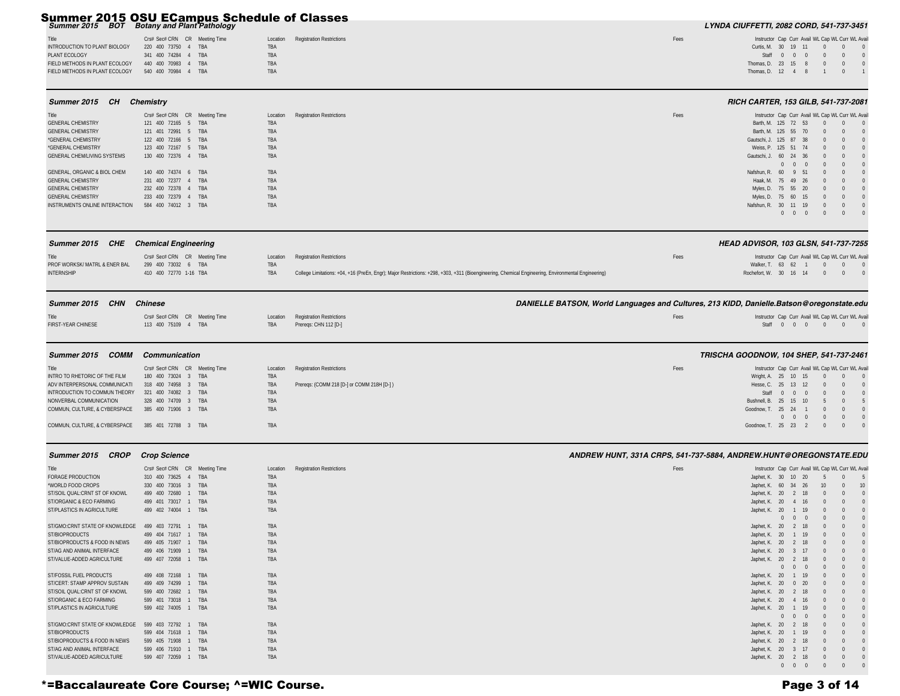# **Summer 2015 OSU ECampus Schedule of Classes**<br>| Summer 2015 BOT Botany and Plant Pathology | Althology | Althology | Classes | LYNDA CIUFFETTI, 2082 CORD, 541-737-3451<br>| Summer 2015 BOT Botany and Plant Pathology | Altholo

| Title                                              | Crs# Sec# CRN CR Meeting Time | Location Registration Restrictions | Fees | Instructor Cap Curr Avail WL Cap WL Curr WL Avail |
|----------------------------------------------------|-------------------------------|------------------------------------|------|---------------------------------------------------|
| INTRODUCTION TO PLANT BIOLOGY                      | 220 400 73750 4 TBA           | TBA                                |      | Curtis. M. 30 19 11 0 0 0                         |
| PLANT ECOLOGY                                      | 341 400 74284 4 TBA           | TBA                                |      | Staff 0 0 0 0 0 0                                 |
| FIELD METHODS IN PLANT ECOLOGY                     | 440 400 70983 4 TBA           | TBA                                |      | Thomas. D. 23 15 8 0 0 0                          |
| FIELD METHODS IN PLANT ECOLOGY 540 400 70984 4 TBA |                               | <b>TBA</b>                         |      | Thomas. D. 12 4 8 1 0 1                           |

| CН<br>Summer 2015                       | Chemistry                     |                                              | RICH CARTER, 153 GILB, 541-737-2081                       |                |
|-----------------------------------------|-------------------------------|----------------------------------------------|-----------------------------------------------------------|----------------|
| Title                                   | Crs# Sec# CRN CR Meeting Time | <b>Registration Restrictions</b><br>Location | Fees<br>Instructor Cap Curr Avail WL Cap WL Curr WL Avail |                |
| <b>GENERAL CHEMISTRY</b>                | 121 400 72165 5 TBA           | TBA                                          | Barth, M. 125 72 53                                       | $0\qquad 0$    |
| <b>GENERAL CHEMISTRY</b>                | 121 401 72991 5 TBA           | TBA                                          | Barth, M. 125 55 70                                       | $0\qquad 0$    |
| *GENERAL CHEMISTRY                      | 122 400 72166 5 TBA           | TBA                                          | Gautschi, J. 125 87 38                                    | $\overline{0}$ |
| *GENERAL CHEMISTRY                      | 123 400 72167 5 TBA           | TBA                                          | Weiss, P. 125 51 74                                       | $0\qquad 0$    |
| <b>GENERAL CHEM/LIVING SYSTEMS</b>      | 130 400 72376 4 TBA           | TBA                                          | Gautschi, J. 60 24 36                                     | $0\qquad 0$    |
|                                         |                               |                                              | $0\quad 0\quad 0$                                         | $\overline{0}$ |
| <b>GENERAL, ORGANIC &amp; BIOL CHEM</b> | 140 400 74374 6 TBA           | TBA                                          | Nafshun, R. 60 9 51                                       | $\Omega$       |
| <b>GENERAL CHEMISTRY</b>                | 231 400 72377 4 TBA           | TBA                                          | Haak. M. 75 49 26                                         | $0\qquad 0$    |
| <b>GENERAL CHEMISTRY</b>                | 232 400 72378 4 TBA           | TBA                                          | Myles, D. 75 55 20                                        | $0\qquad 0$    |
| <b>GENERAL CHEMISTRY</b>                | 233 400 72379 4 TBA           | TBA                                          | Myles, D. 75 60 15                                        | $\overline{0}$ |
| INSTRUMENTS ONLINE INTERACTION          | 584 400 74012 3 TBA           | TBA                                          | Nafshun, R. 30 11 19                                      | $\sqrt{0}$     |
|                                         |                               |                                              | $0\quad 0\quad 0$                                         | $\overline{0}$ |

### *Summer 2015 CHE Chemical Engineering HEAD ADVISOR, 103 GLSN, 541-737-7255*

|                               | Crs# Sec# CRN CR Meeting Time | Location Registration Restrictions                                                                                                                  | Fees | Instructor Cap Curr Avail WL Cap WL Curr WL Avai |
|-------------------------------|-------------------------------|-----------------------------------------------------------------------------------------------------------------------------------------------------|------|--------------------------------------------------|
| PROF WORKSK/ MATRL & ENER BAL | 299 400 73032 6 TBA           |                                                                                                                                                     |      | Walker. T. 63 62 1 0 0 0                         |
| <b>INTERNSHIP</b>             | 410 400 72770 1-16 TBA        | College Limitations: +04, +16 (PreEn, Engr); Major Restrictions: +298, +303, +311 (Bioengineering, Chemical Engineering, Environmental Engineering) |      | Rochefort. W. 30 16 14 0 0                       |
|                               |                               |                                                                                                                                                     |      |                                                  |

## *Summer 2015 CHN Chinese DANIELLE BATSON, World Languages and Cultures, 213 KIDD, Danielle.Batson@oregonstate.edu*

| Title                     | Crs# Sec# CRN CR Meeting Time | Location Registration Restrictions | Fees | Instructor Cap Curr Avail WL Cap WL Curr WL Avail |
|---------------------------|-------------------------------|------------------------------------|------|---------------------------------------------------|
| <b>FIRST-YEAR CHINESE</b> | 113 400 75109 4 TBA           | Preregs: CHN 112 [D-]              |      | Staff 0 0 0 0 0 0                                 |

| СОММ<br><b>Summer 2015</b>                        | Communication                 |          |                                            |      | <b>TRISCHA GOODNOW, 104 SHEP, 541-737-2461</b>     |
|---------------------------------------------------|-------------------------------|----------|--------------------------------------------|------|----------------------------------------------------|
| Title                                             | Crs# Sec# CRN CR Meeting Time | Location | <b>Registration Restrictions</b>           | Fees | Instructor Cap Curr Avail WL Cap WL Curr WL Avail  |
| INTRO TO RHETORIC OF THE FILM                     | 180 400 73024 3 TBA           | TBA      |                                            |      | Wright, A. 25 10 15 0 0 0                          |
| ADV INTERPERSONAL COMMUNICATI 318 400 74958 3 TBA |                               | TBA      | Preregs: (COMM 218 [D-] or COMM 218H [D-]) |      | Hesse, C. 25 13 12 0 0 0                           |
| INTRODUCTION TO COMMUN THEORY 321 400 74082 3 TBA |                               | TBA      |                                            |      | Staff 0 0 0<br>$\begin{matrix} 0 & 0 \end{matrix}$ |
| NONVERBAL COMMUNICATION                           | 328 400 74709 3 TBA           | TBA      |                                            |      | Bushnell, B. 25 15 10 5<br>$0\qquad 5$             |
| COMMUN. CULTURE. & CYBERSPACE                     | 385 400 71906 3 TBA           | TBA      |                                            |      | Goodnow. T. 25 24 1 0 0 0                          |
|                                                   |                               |          |                                            |      | $0\qquad 0$<br>$0\quad 0\quad 0$                   |
| COMMUN. CULTURE. & CYBERSPACE 385 401 72788 3 TBA |                               | TBA      |                                            |      | Goodnow. T. 25 23 2 0<br>$0\qquad 0$               |
|                                                   |                               |          |                                            |      |                                                    |

### *Summer 2015 CROP Crop Science ANDREW HUNT, 331A CRPS, 541-737-5884, ANDREW.HUNT@OREGONSTATE.EDU*

| Title                          | Crs# Sec# CRN CR Meeting Time | Location   | <b>Registration Restrictions</b> | Fees | Instructor Cap Curr Avail WL Cap WL Curr WL Avail |             |               |    |          |  |
|--------------------------------|-------------------------------|------------|----------------------------------|------|---------------------------------------------------|-------------|---------------|----|----------|--|
| FORAGE PRODUCTION              | 310 400 73625 4 TBA           | TBA        |                                  |      | Japhet, K. 30 10 20                               |             |               |    | $\Omega$ |  |
| *WORLD FOOD CROPS              | 330 400 73016 3 TBA           | <b>TBA</b> |                                  |      | Japhet, K. 60                                     | 34 26       |               | 10 |          |  |
| ST/SOIL QUAL:CRNT ST OF KNOWL  | 499 400 72680 1 TBA           | TBA        |                                  |      | Japhet, K. 20                                     | 2 18        |               |    |          |  |
| ST/ORGANIC & ECO FARMING       | 499 401 73017 1 TBA           | <b>TBA</b> |                                  |      | Japhet, K. 20                                     | 4 16        |               |    |          |  |
| ST/PLASTICS IN AGRICULTURE     | 499 402 74004 1 TBA           | <b>TBA</b> |                                  |      | Japhet, K. 20                                     | 1 19        |               |    |          |  |
|                                |                               |            |                                  |      |                                                   | $0\quad 0$  | $\sqrt{0}$    |    |          |  |
| ST/GMO:CRNT STATE OF KNOWLEDGE | 499 403 72791 1 TBA           | <b>TBA</b> |                                  |      | Japhet, K. 20                                     | 2 18        |               |    |          |  |
| ST/BIOPRODUCTS                 | 499 404 71617 1 TBA           | TBA        |                                  |      | Japhet, K. 20                                     |             | 19            |    |          |  |
| ST/BIOPRODUCTS & FOOD IN NEWS  | 499 405 71907<br>1 TBA        | TBA        |                                  |      | Japhet, K. 20                                     | 2 18        |               |    |          |  |
| ST/AG AND ANIMAL INTERFACE     | 499 406 71909 1 TBA           | TBA        |                                  |      | Japhet, K. 20                                     | 3 17        |               |    |          |  |
| ST/VALUE-ADDED AGRICULTURE     | 499 407 72058 1 TBA           | TBA        |                                  |      | Japhet, K. 20                                     | 2 18        |               |    |          |  |
|                                |                               |            |                                  |      |                                                   | $0\quad 0$  | $\sqrt{0}$    |    |          |  |
| ST/FOSSIL FUEL PRODUCTS        | 499 408 72168 1 TBA           | <b>TBA</b> |                                  |      | Japhet, K. 20                                     |             | <sup>19</sup> |    |          |  |
| ST/CERT: STAMP APPROV SUSTAIN  | 499 409 74299 1 TBA           | <b>TBA</b> |                                  |      | Japhet, K. 20                                     | $0\quad 20$ |               |    |          |  |
| ST/SOIL QUAL:CRNT ST OF KNOWL  | 599 400 72682<br>1 TBA        | TBA        |                                  |      | Japhet, K. 20                                     | 2 18        |               |    |          |  |
| ST/ORGANIC & ECO FARMING       | 599 401 73018 1 TBA           | <b>TBA</b> |                                  |      | Japhet, K. 20                                     | 4 16        |               |    |          |  |
| ST/PLASTICS IN AGRICULTURE     | 599 402 74005 1 TBA           | TBA        |                                  |      | Japhet, K. 20                                     |             | <sup>19</sup> |    |          |  |
|                                |                               |            |                                  |      |                                                   | $0 \quad 0$ | $\sqrt{ }$    |    |          |  |
| ST/GMO:CRNT STATE OF KNOWLEDGE | 599 403 72792 1 TBA           | <b>TBA</b> |                                  |      | Japhet, K. 20                                     | 2 18        |               |    |          |  |
| ST/BIOPRODUCTS                 | 599 404 71618 1 TBA           | TBA        |                                  |      | Japhet, K. 20                                     | $1 \t19$    |               |    |          |  |
| ST/BIOPRODUCTS & FOOD IN NEWS  | 599 405 71908 1 TBA           | <b>TBA</b> |                                  |      | Japhet, K. 20                                     | 2 18        |               |    |          |  |
| ST/AG AND ANIMAL INTERFACE     | 599 406 71910 1 TBA           | <b>TBA</b> |                                  |      | Japhet, K. 20                                     | 3 17        |               |    |          |  |
| ST/VALUE-ADDED AGRICULTURE     | 599 407 72059 1 TBA           | TBA        |                                  |      | Japhet, K. 20                                     | 2 18        |               |    |          |  |
|                                |                               |            |                                  |      |                                                   | $0\quad 0$  | $\sqrt{0}$    |    |          |  |
|                                |                               |            |                                  |      |                                                   |             |               |    |          |  |

# \*=Baccalaureate Core Course; ^=WIC Course. Page 3 of 14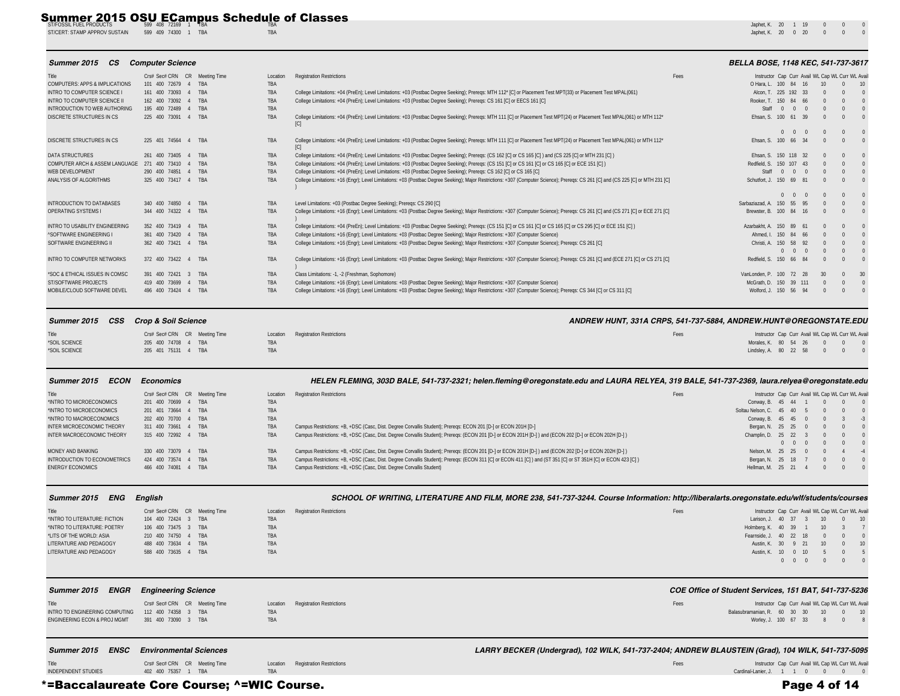ST/CERT: STAMP APPROV SUSTAIN 599 409 74300 1 TBA TBA TBA TBA Japhet, K. 20 0 20 0 0 0 0 0 0 0 0 0 0 0 0 0 0 0

### *Summer 2015 CS Computer Science BELLA BOSE, 1148 KEC, 541-737-3617*

Japhet, K. 20 1 19 0 0 0

|  | BELLA BOSE. 1148 KEC. 541-737-3617 |  |  |  |
|--|------------------------------------|--|--|--|
|  |                                    |  |  |  |
|  |                                    |  |  |  |

| Title                                        | Crs# Sec# CRN CR               | Meeting Time | Location   | <b>Registration Restrictions</b>                                                                                                                                                  | Fees | Instructor Cap Curr Avail WL Cap WL Curr WL Avai |                        |     |     |
|----------------------------------------------|--------------------------------|--------------|------------|-----------------------------------------------------------------------------------------------------------------------------------------------------------------------------------|------|--------------------------------------------------|------------------------|-----|-----|
| COMPUTERS: APPS & IMPLICATIONS               | 101 400 72679                  | <b>TRA</b>   | <b>TBA</b> |                                                                                                                                                                                   |      | O Hara, I. 100                                   | 84<br>16               |     |     |
| INTRO TO COMPUTER SCIENCE I                  | 161 400 73093                  | TBA          | TBA        | College Limitations: +04 (PreEn); Level Limitations: +03 (Postbac Degree Seeking); Preregs: MTH 112* [C] or Placement Test MPT(33) or Placement Test MPAL(061)                    |      | Alcon. 1                                         | 225 192 33             |     |     |
| INTRO TO COMPUTER SCIENCE II                 | 162 400 73092                  | <b>TRA</b>   | <b>TBA</b> | College Limitations: +04 (PreEn); Level Limitations: +03 (Postbac Degree Seeking); Preregs: CS 161 [C] or EECS 161 [C]                                                            |      | 150<br>Rooker. 7                                 | 84 66                  |     |     |
| INTRODUCTION TO WEB AUTHORING                | 195 400 72489                  | <b>TRA</b>   | TBA        |                                                                                                                                                                                   |      | Staff                                            | $\Omega$               |     |     |
| DISCRETE STRUCTURES IN CS                    | 225 400 73091                  | <b>TRA</b>   | TBA        | College Limitations: +04 (PreEn); Level Limitations: +03 (Postbac Degree Seeking); Prereqs: MTH 111 [C] or Placement Test MPT(24) or Placement Test MPAL(061) or MTH 112*         |      | 100<br>Ehsan, S.                                 | 39<br>61               |     |     |
|                                              |                                |              |            |                                                                                                                                                                                   |      |                                                  | $0 \quad 0$            |     |     |
| DISCRETE STRUCTURES IN CS                    | 225 401 74564                  | 4 TBA        | <b>TBA</b> | College Limitations: +04 (PreEn); Level Limitations: +03 (Postbac Degree Seeking); Preregs: MTH 111 [C] or Placement Test MPT(24) or Placement Test MPAL(061) or MTH 112*<br>ICI  |      | Ehsan, S. 100 66 34                              |                        |     |     |
| <b>DATA STRUCTURES</b>                       | 261 400 73405                  | 4 TRA        | <b>TBA</b> | College Limitations: +04 (PreEn); Level Limitations: +03 (Postbac Degree Seeking); Prereqs: (CS 162 [C] or CS 165 [C] ) and (CS 225 [C] or MTH 231 [C] )                          |      | Ehsan, S. 150 118 32                             |                        |     |     |
| COMPUTER ARCH & ASSEM LANGUAGE               | 271 400 73410                  | <b>TRA</b>   | <b>TBA</b> | College Limitations: +04 (PreEn); Level Limitations: +03 (Postbac Degree Seeking); Preregs: (CS 151 [C] or CS 161 [C] or CS 165 [C] or ECE 151 [C])                               |      | Redfield, S. 150 107 43                          |                        |     |     |
| <b>WEB DEVELOPMENT</b>                       | 290 400 74851                  | <b>TRA</b>   | TBA        | College Limitations: +04 (PreEn); Level Limitations: +03 (Postbac Degree Seeking); Prereqs: CS 162 [C] or CS 165 [C]                                                              |      | Staff<br>$\Omega$                                | $\Omega$<br>$\sqrt{ }$ |     |     |
| ANALYSIS OF ALGORITHMS                       | 325 400 73417                  | 4 TRA        | TBA        | College Limitations: +16 (Engr); Level Limitations: +03 (Postbac Degree Seeking); Major Restrictions: +307 (Computer Science); Preregs: CS 261 [C] and (CS 225 [C] or MTH 231 [C] |      | 150<br>Schutfort, J.                             | 69 81                  |     |     |
|                                              |                                |              |            |                                                                                                                                                                                   |      |                                                  | $0 \quad 0$            |     |     |
| <b>INTRODUCTION TO DATABASES</b>             | 340 400 74850                  | TBA          | <b>TBA</b> | Level Limitations: +03 (Postbac Degree Seeking); Preregs: CS 290 [C]                                                                                                              |      | Sarbaziazad, A. 150                              | 55 95                  |     |     |
| <b>OPERATING SYSTEMS I</b>                   | 344 400 74322                  | 4 TRA        | TBA        | College Limitations: +16 (Engr); Level Limitations: +03 (Postbac Degree Seeking); Major Restrictions: +307 (Computer Science); Prereqs: CS 261 [C] and (CS 271 [C] or ECE 271 [C] |      | Brewster, B. 100 84 16                           |                        |     |     |
| INTRO TO USABILITY ENGINEERING               | 352 400 73419                  | <b>TRA</b>   | TBA        | College Limitations: +04 (PreEn); Level Limitations: +03 (Postbac Degree Seeking); Preregs: (CS 151 [C] or CS 161 [C] or CS 165 [C] or CS 295 [C] or ECE 151 [C])                 |      | Azarbakht, A. 150                                | 89<br>61               |     |     |
| <b><i><u>^SOFTWARE ENGINEERING I</u></i></b> | 361 400 73420                  | <b>TRA</b>   | TBA        | College Limitations: +16 (Engr); Level Limitations: +03 (Postbac Degree Seeking); Major Restrictions: +307 (Computer Science)                                                     |      | 150<br>Ahmed. I.                                 | 84<br>66               |     |     |
| SOFTWARE ENGINEERING II                      | 362 400 73421                  | 4 TRA        | TBA        | College Limitations: +16 (Engr); Level Limitations: +03 (Postbac Degree Seeking); Major Restrictions: +307 (Computer Science); Preregs: CS 261 [C]                                |      | Christi, A. 150                                  | 58 92                  |     |     |
|                                              |                                |              |            |                                                                                                                                                                                   |      |                                                  | $\Omega$               |     |     |
| INTRO TO COMPUTER NETWORKS                   | 372 400 73422                  | 4 TRA        | TBA        | College Limitations: +16 (Engr); Level Limitations: +03 (Postbac Degree Seeking); Major Restrictions: +307 (Computer Science); Preregs: CS 261 [C] and (ECE 271 [C] or CS 271 [C] |      | Redfield, S. 150                                 | 66 84                  |     |     |
| *SOC & ETHICAL ISSUES IN COMSC               | 391 400 72421<br>$\mathcal{R}$ | <b>TRA</b>   | <b>TBA</b> | Class Limitations: -1. -2 (Freshman, Sophomore)                                                                                                                                   |      | VanLonden, P. 100                                | 72 28                  | -30 | -30 |
| ST/SOFTWARE PROJECTS                         | 419 400 73699                  | <b>TRA</b>   | <b>TBA</b> | College Limitations: +16 (Engr); Level Limitations: +03 (Postbac Degree Seeking); Major Restrictions: +307 (Computer Science)                                                     |      | McGrath. D. 150 39 111                           |                        |     |     |
| MOBILE/CLOUD SOFTWARE DEVEL                  | 496 400 73424                  | 4 TRA        | TBA        | College Limitations: +16 (Engr); Level Limitations: +03 (Postbac Degree Seeking); Major Restrictions: +307 (Computer Science); Prereqs: CS 344 [C] or CS 311 [C]                  |      | Wolford, J. 150 56 94                            |                        |     |     |

# *Summer 2015 CSS Crop & Soil Science ANDREW HUNT, 331A CRPS, 541-737-5884, ANDREW.HUNT@OREGONSTATE.EDU* Title Crs# Sec# CRN CR Meeting Time Location Registration Restrictions Fees The Cap Curr Avail WL Cap WL Curr WL Avail WL Cap WL Curr WL Avail WL Cap WL Curr WL Avail WL Cap WL Curr WL Avail

| *SOIL SCIENCE<br>205 400 74708 4 TBA<br>Morales, K. 80 54 26 0 0 0<br>*SOIL SCIENCE<br>Lindsley, A. 80 22 58 0 0 0<br>205 401 75131 4 TBA |  |  |  |  |  |
|-------------------------------------------------------------------------------------------------------------------------------------------|--|--|--|--|--|
|                                                                                                                                           |  |  |  |  |  |
|                                                                                                                                           |  |  |  |  |  |

 *Summer 2015 ECON Economics HELEN FLEMING, 303D BALE, 541-737-2321; helen.fleming@oregonstate.edu and LAURA RELYEA, 319 BALE, 541-737-2369, laura.relyea@oregonstate.edu*

| Title                        | Crs# Sec# CRN CR Meeting Time |  | Location   | <b>Registration Restrictions</b>                                                                                                                              | Fees | Instructor Cap Curr Avail WL Cap WL Curr WL Avai |                     |          |                     |  |
|------------------------------|-------------------------------|--|------------|---------------------------------------------------------------------------------------------------------------------------------------------------------------|------|--------------------------------------------------|---------------------|----------|---------------------|--|
| *INTRO TO MICROECONOMICS     | 201 400 70699 4 TBA           |  | TBA        |                                                                                                                                                               |      | Conway, B. 45 44 1 0 0 0                         |                     |          |                     |  |
| *INTRO TO MICROECONOMICS     | 201 401 73664 4 TBA           |  | <b>TBA</b> |                                                                                                                                                               |      | Soltau Nelson, C. 45 40 5 0 0 0                  |                     |          |                     |  |
| *INTRO TO MACROECONOMICS     | 202 400 70700 4 TBA           |  | <b>TBA</b> |                                                                                                                                                               |      | Conway, B. 45 45 0 0 3 -3                        |                     |          |                     |  |
| INTER MICROECONOMIC THEORY   | 311 400 73661 4 TBA           |  | TBA        | Campus Restrictions: +B, +DSC (Casc, Dist. Degree Corvallis Student); Preregs: ECON 201 [D-] or ECON 201H [D-]                                                |      | Bergan, N. 25 25 0 0 0 0                         |                     |          |                     |  |
| INTER MACROECONOMIC THEORY   | 315 400 72992 4 TBA           |  | TBA        | Campus Restrictions: +B, +DSC (Casc, Dist. Degree Corvallis Student); Preregs: (ECON 201 [D-] or ECON 201H [D-] ) and (ECON 202 [D-] or ECON 202H [D-] )      |      | Champlin, D. 25 22 3 0 0 0                       |                     |          |                     |  |
|                              |                               |  |            |                                                                                                                                                               |      |                                                  | $0 \quad 0 \quad 0$ |          | $0\qquad 0\qquad 0$ |  |
| MONEY AND BANKING            | 330 400 73079 4 TBA           |  | <b>TBA</b> | Campus Restrictions: +B, +DSC (Casc, Dist. Degree Corvallis Student); Preregs: (ECON 201 [D-] or ECON 201H [D-]) and (ECON 202 [D-] or ECON 202H [D-])        |      | Nelson, M. 25 25 0                               |                     | $\sim$ 0 | $4 \t-4$            |  |
| INTRODUCTION TO ECONOMETRICS | 424 400 73574 4 TBA           |  | TBA        | Campus Restrictions: +B, +DSC (Casc, Dist. Degree Corvallis Student); Preregs: (ECON 311 [C] or ECON 411 [C]) and (ST 351 [C] or ST 351H [C] or ECON 423 [C]) |      | Bergan, N. 25 18 7 0 0 0                         |                     |          |                     |  |
| <b>ENERGY ECONOMICS</b>      | 466 400 74081 4 TBA           |  | <b>TBA</b> | Campus Restrictions: +B, +DSC (Casc, Dist. Degree Corvallis Student)                                                                                          |      | Hellman, M. 25 21 4                              |                     |          | $0\qquad 0\qquad 0$ |  |

### *Summer 2015 ENG English SCHOOL OF WRITING, LITERATURE AND FILM, MORE 238, 541-737-3244. Course Information: http://liberalarts.oregonstate.edu/wlf/students/courses*

| Title                         | Crs# Sec# CRN CR Meeting Time | Location Registration Restrictions | Fees                         | Instructor Cap Curr Avail WL Cap WL Curr WL Avai |                             |             |  |
|-------------------------------|-------------------------------|------------------------------------|------------------------------|--------------------------------------------------|-----------------------------|-------------|--|
| *INTRO TO LITERATURE: FICTION | 104 400 72424 3 TBA           | <b>TBA</b>                         |                              | Larison, J. 40 37 3 10 0 10                      |                             |             |  |
| *INTRO TO LITERATURE: POETRY  | 106 400 73475 3 TBA           | <b>TBA</b>                         | Holmberg, K. 40 39 1 10 3 7  |                                                  |                             |             |  |
| *LITS OF THE WORLD: ASIA      | 210 400 74750 4 TBA           | <b>TBA</b>                         | Fearnside, J. 40 22 18 0 0 0 |                                                  |                             |             |  |
| LITERATURE AND PEDAGOGY       | 488 400 73634 4 TBA           | <b>TBA</b>                         |                              | Austin, K. 30 9 21 10 0 10                       |                             |             |  |
| LITERATURE AND PEDAGOGY       | 588 400 73635 4 TBA           | <b>TBA</b>                         |                              | Austin, K. 10 0 10 5 0 5                         |                             |             |  |
|                               |                               |                                    |                              |                                                  | $0 \quad 0 \quad 0 \quad 0$ | $0\qquad 0$ |  |
|                               |                               |                                    |                              |                                                  |                             |             |  |

# *Summer 2015 ENGR Engineering Science COE Office of Student Services, 151 BAT, 541-737-5236*

| Title                                              | Crs# Sec# CRN CR Meeting Time | Location Registration Restrictions | Instructor Cap Curr Avail WL Cap WL Curr WL Avail<br>Fees |  |
|----------------------------------------------------|-------------------------------|------------------------------------|-----------------------------------------------------------|--|
| INTRO TO ENGINEERING COMPUTING 112 400 74358 3 TBA |                               |                                    | Balasubramanian, R. 60 30 30 10 0 10                      |  |
| ENGINEERING ECON & PROJ MGMT                       | 391 400 73090 3 TBA           |                                    | Worley, J. 100 67 33 8 0 8                                |  |
|                                                    |                               |                                    |                                                           |  |

### *Summer 2015 ENSC Environmental Sciences LARRY BECKER (Undergrad), 102 WILK, 541-737-2404; ANDREW BLAUSTEIN (Grad), 104 WILK, 541-737-5095*

|                     | Crs# Sec# CRN CR Meeting Time | Location Registration Restrictions |  | Instructor Cap Curr Avail WL Cap WL Curr WL Avail |
|---------------------|-------------------------------|------------------------------------|--|---------------------------------------------------|
| INDEPENDENT STUDIES | 402 400 75357 1 TBA           |                                    |  | Cardinal-Lanier. J. 1 1 0 0 0 0                   |
|                     |                               |                                    |  |                                                   |

# \*=Baccalaureate Core Course; ^=WIC Course. Page 4 of 14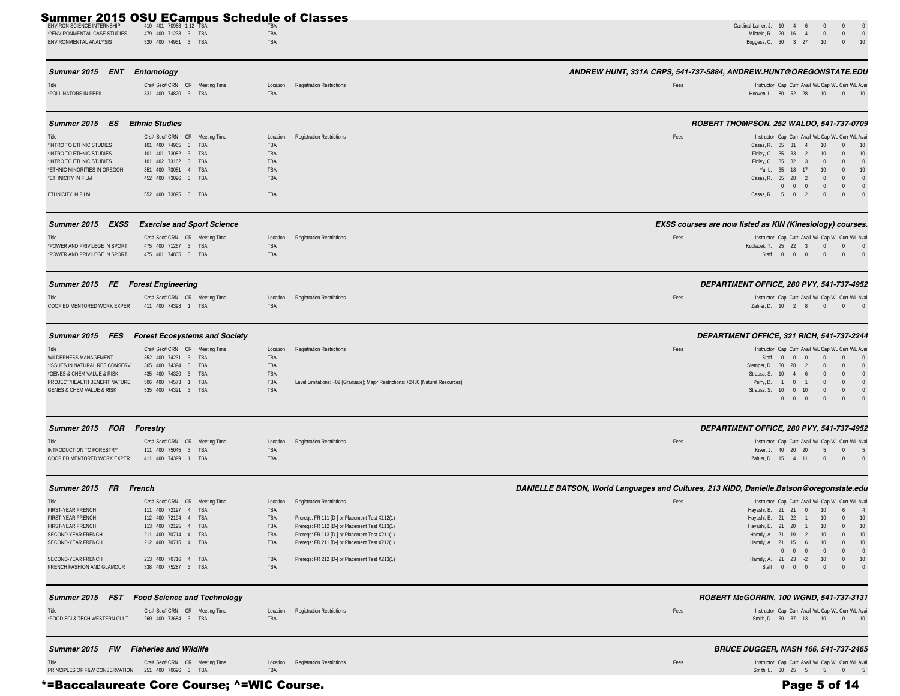| <b>ENVIRON SCIENCE INTERNS</b>                              | <b>Summer 2015 OSU ECampus Schedule of Classes</b>   |                   |                                                                                                  |                                                                                          | Cardinal-Lanier, J. 10 4 6<br>$\Omega$<br>$\Omega$<br>$\Omega$                                                                                                                   |
|-------------------------------------------------------------|------------------------------------------------------|-------------------|--------------------------------------------------------------------------------------------------|------------------------------------------------------------------------------------------|----------------------------------------------------------------------------------------------------------------------------------------------------------------------------------|
| *^ENVIRONMENTAL CASE STUDIES<br>ENVIRONMENTAL ANALYSIS      | 479 400 71233 3 TBA<br>520 400 74951 3 TBA           | TBA<br>TBA        |                                                                                                  |                                                                                          | Milstein, R. 20 16<br>4<br>$\overline{0}$<br>$\overline{0}$<br>$\Omega$<br>Boggess, C. 30 3 27 10<br>$0$ 10                                                                      |
| Summer 2015 ENT                                             | Entomology                                           |                   |                                                                                                  |                                                                                          | ANDREW HUNT, 331A CRPS, 541-737-5884, ANDREW.HUNT@OREGONSTATE.EDU                                                                                                                |
| *POLLINATORS IN PERIL                                       | Crs# Sec# CRN CR Meeting Time<br>331 400 74820 3 TBA | Location<br>TBA   | <b>Registration Restrictions</b>                                                                 | Fees                                                                                     | Instructor Cap Curr Avail WL Cap WL Curr WL Avail<br>Hooven, L. 80 52 28 10 0 10                                                                                                 |
| Summer 2015 ES Ethnic Studies                               |                                                      |                   |                                                                                                  |                                                                                          | ROBERT THOMPSON, 252 WALDO, 541-737-0709                                                                                                                                         |
|                                                             | Crs# Sec# CRN CR Meeting Time                        | Location          | <b>Registration Restrictions</b>                                                                 | Fees                                                                                     | Instructor Cap Curr Avail WL Cap WL Curr WL Avail                                                                                                                                |
| *INTRO TO ETHNIC STUDIES                                    | 101 400 74965 3 TBA                                  | TBA               |                                                                                                  |                                                                                          | Casas, R. 35 31 4<br>10<br>$\overline{0}$<br>10                                                                                                                                  |
| *INTRO TO ETHNIC STUDIES                                    | 101 401 73082 3 TBA                                  | TBA               |                                                                                                  |                                                                                          | Finley, C. 35 33 2<br>10<br>10<br>$\overline{0}$                                                                                                                                 |
| *INTRO TO ETHNIC STUDIES<br>*ETHNIC MINORITIES IN OREGON    | 101 402 73162 3 TBA<br>351 400 73081 4 TBA           | <b>TBA</b><br>TBA |                                                                                                  |                                                                                          | Finley, C. 35 32 3<br>$\overline{0}$<br>$\overline{0}$<br>$\overline{0}$<br>Yu, L. 35 18 17<br>10<br>$\overline{0}$<br>10                                                        |
| *ETHNICITY IN FILM                                          | 452 400 73096 3 TBA                                  | TBA               |                                                                                                  |                                                                                          | Casas, R. 35 28<br>$\overline{2}$<br>$\Omega$<br>$\Omega$                                                                                                                        |
| ETHNICITY IN FILM                                           | 552 400 73095 3 TBA                                  | TBA               |                                                                                                  |                                                                                          | $\overline{0}$<br>$\overline{0}$<br>$0\quad 0\quad 0$<br>$\overline{\phantom{0}}$<br>Casas, R. 5 0 2<br>$\overline{\phantom{0}}$<br>$\overline{0}$<br>$\overline{0}$             |
|                                                             |                                                      |                   |                                                                                                  |                                                                                          |                                                                                                                                                                                  |
| Summer 2015 EXSS                                            | <b>Exercise and Sport Science</b>                    |                   |                                                                                                  |                                                                                          | EXSS courses are now listed as KIN (Kinesiology) courses.                                                                                                                        |
| *POWER AND PRIVILEGE IN SPORT                               | Crs# Sec# CRN CR Meeting Time<br>475 400 71267 3 TBA | Location<br>TBA   | <b>Registration Restrictions</b>                                                                 | Fees                                                                                     | Instructor Cap Curr Avail WL Cap WL Curr WL Avail<br>Kudlacek, T. 25 22 3 0<br>$0$ 0                                                                                             |
| *POWER AND PRIVILEGE IN SPORT                               | 475 401 74805 3 TBA                                  | TBA               |                                                                                                  |                                                                                          | Staff 0 0 0<br>$\overline{0}$<br>$0$ 0                                                                                                                                           |
| Summer 2015 FE Forest Engineering                           |                                                      |                   |                                                                                                  |                                                                                          | DEPARTMENT OFFICE, 280 PVY, 541-737-4952                                                                                                                                         |
|                                                             | Crs# Sec# CRN CR Meeting Time                        | Location          | <b>Registration Restrictions</b>                                                                 | Fees                                                                                     | Instructor Cap Curr Avail WL Cap WL Curr WL Avail                                                                                                                                |
| COOP ED MENTORED WORK EXPER                                 | 411 400 74398 1 TBA                                  | TBA               |                                                                                                  |                                                                                          | Zahler, D. 10 2 8<br>$\sim$ 0<br>$0$ 0                                                                                                                                           |
| Summer 2015 FES                                             | <b>Forest Ecosystems and Society</b>                 |                   |                                                                                                  |                                                                                          | DEPARTMENT OFFICE, 321 RICH, 541-737-2244                                                                                                                                        |
| <b>Title</b>                                                | Crs# Sec# CRN CR Meeting Time                        | Location          | <b>Registration Restrictions</b>                                                                 | Fees                                                                                     | Instructor Cap Curr Avail WL Cap WL Curr WL Avail                                                                                                                                |
| WILDERNESS MANAGEMENT                                       | 352 400 74231 3 TBA                                  | TBA               |                                                                                                  |                                                                                          | Staff 0 0 0<br>$\overline{0}$<br>$\overline{0}$<br>$\Omega$                                                                                                                      |
| *ISSUES IN NATURAL RES CONSERV                              | 365 400 74394 3 TBA                                  | TBA               |                                                                                                  |                                                                                          | Stemper, D.<br>30 28<br>$\overline{2}$<br>$\overline{0}$<br>$\overline{0}$<br>$\Omega$                                                                                           |
| *GENES & CHEM VALUE & RISK<br>PROJECT/HEALTH BENEFIT NATURE | 435 400 74320 3 TBA<br>506 400 74573 1 TBA           | TBA<br>TBA        | Level Limitations: +02 (Graduate); Major Restrictions: +2430 (Natural Resources)                 |                                                                                          | Strauss, S.<br>$10 \t 4$<br>6<br>$\overline{0}$<br>$\mathbf{0}$<br>Perry, D.<br>$\overline{1}$<br>$\overline{0}$<br>$\overline{1}$<br>$\overline{0}$<br>$\mathbf{0}$<br>$\Omega$ |
| <b>GENES &amp; CHEM VALUE &amp; RISK</b>                    | 535 400 74321 3 TBA                                  | TBA               |                                                                                                  |                                                                                          | Strauss, S. 10 0 10<br>$\overline{0}$<br>$\overline{0}$<br>$\Omega$<br>$0\quad 0\quad 0$<br>$\overline{0}$<br>$\overline{0}$<br>$\Omega$                                         |
| Summer 2015 FOR                                             | <b>Forestry</b>                                      |                   |                                                                                                  |                                                                                          | DEPARTMENT OFFICE, 280 PVY, 541-737-4952                                                                                                                                         |
| Title                                                       | Crs# Sec# CRN CR Meeting Time                        | Location          | <b>Registration Restrictions</b>                                                                 | Fees                                                                                     | Instructor Cap Curr Avail WL Cap WL Curr WL Avail                                                                                                                                |
| INTRODUCTION TO FORESTRY                                    | 111 400 75045 3 TBA                                  | TBA               |                                                                                                  |                                                                                          | Kiser, J. 40 20 20<br>$5 -$<br>$0\qquad 5$                                                                                                                                       |
| COOP ED MENTORED WORK EXPER                                 | 411 400 74399 1 TBA                                  | TBA               |                                                                                                  |                                                                                          | Zahler. D. 15 4 11<br>$\overline{0}$<br>$0$ 0                                                                                                                                    |
| Summer 2015 FR French                                       |                                                      |                   |                                                                                                  | DANIELLE BATSON, World Languages and Cultures, 213 KIDD, Danielle.Batson@oregonstate.edu |                                                                                                                                                                                  |
|                                                             | Crs# Sec# CRN CR Meeting Time                        |                   | Location Registration Restrictions                                                               | Fees                                                                                     | Instructor Cap Curr Avail WL Cap WL Curr WL Avail                                                                                                                                |
| FIRST-YEAR FRENCH                                           | 111 400 72197 4 TBA                                  | TBA               |                                                                                                  |                                                                                          | Hayashi, E. 21 21 0 10 6 4                                                                                                                                                       |
| FIRST-YEAR FRENCH<br>FIRST-YEAR FRENCH                      | 112 400 72194 4 TBA                                  | TBA               | Prereqs: FR 111 [D-] or Placement Test X112(1)                                                   |                                                                                          | Hayashi, E. 21 22 -1 10 0 10                                                                                                                                                     |
| SECOND-YEAR FRENCH                                          | 113 400 72195 4 TBA<br>211 400 70714 4 TBA           | TBA<br>TBA        | Prereqs: FR 112 [D-] or Placement Test X113(1)<br>Prereqs: FR 113 [D-] or Placement Test X211(1) |                                                                                          | Hayashi, E. 21 20 1 10 0 10<br>Hamdy, A. 21 19 2 10 0 10                                                                                                                         |
| SECOND-YEAR FRENCH                                          | 212 400 70715 4 TBA                                  | TBA               | Prereqs: FR 211 [D-] or Placement Test X212(1)                                                   |                                                                                          | Hamdy, A. 21 15 6 10 0 10<br>$\begin{matrix} 0 & 0 & 0 & 0 & 0 & 0 \end{matrix}$                                                                                                 |
| SECOND-YEAR FRENCH<br>FRENCH FASHION AND GLAMOUR            | 213 400 70716 4 TBA<br>338 400 75287 3 TBA           | TBA<br>TBA        | Prereqs: FR 212 [D-] or Placement Test X213(1)                                                   |                                                                                          | Hamdy, A. 21 23 -2 10 0 10<br>Staff 0 0 0 0<br>$0$ 0                                                                                                                             |
|                                                             | Summer 2015 FST Food Science and Technology          |                   |                                                                                                  |                                                                                          | ROBERT McGORRIN, 100 WGND, 541-737-3131                                                                                                                                          |
|                                                             | Crs# Sec# CRN CR Meeting Time                        |                   | Location Registration Restrictions                                                               | Fees                                                                                     | Instructor Cap Curr Avail WL Cap WL Curr WL Avail                                                                                                                                |
| *FOOD SCI & TECH WESTERN CULT 260 400 73684 3 TBA           |                                                      | TBA               |                                                                                                  |                                                                                          | Smith, D. 50 37 13 10 0 10                                                                                                                                                       |
| Summer 2015 FW Fisheries and Wildlife                       |                                                      |                   |                                                                                                  |                                                                                          | <b>BRUCE DUGGER, NASH 166, 541-737-2465</b>                                                                                                                                      |
|                                                             | Crs# Sec# CRN CR Meeting Time                        |                   | Location Registration Restrictions                                                               | Fees                                                                                     | Instructor Cap Curr Avail WL Cap WL Curr WL Avail                                                                                                                                |
| PRINCIPLES OF F&W CONSERVATION 251 400 70696 3 TBA          |                                                      | TBA               |                                                                                                  |                                                                                          | Smith, L. 30 25 5 5 0 5                                                                                                                                                          |

# \*=Baccalaureate Core Course; ^=WIC Course. Page 5 of 14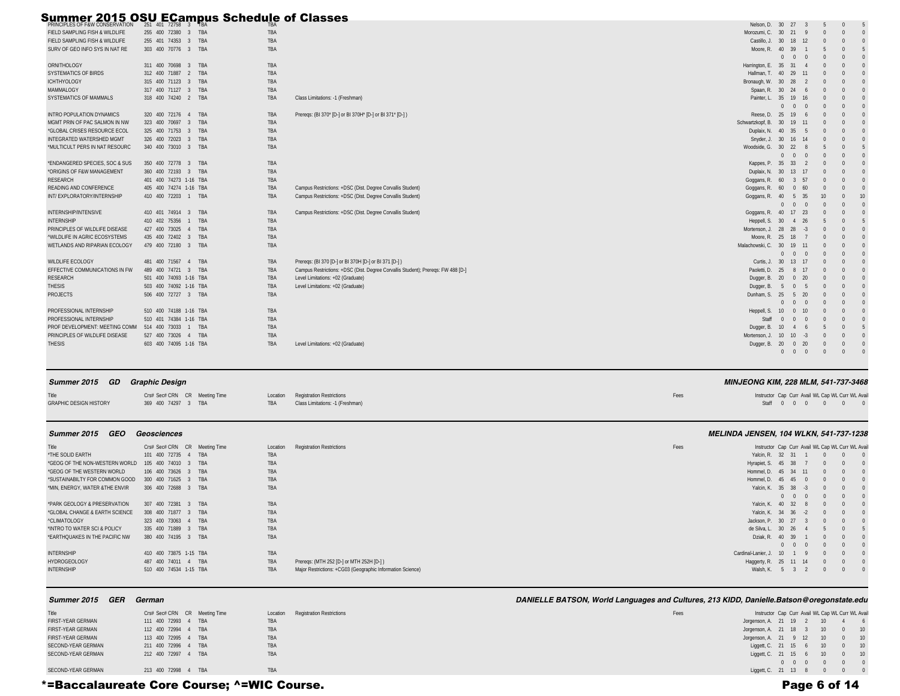| $\frac{1}{2}$ PRINCIPLES OF FAN CONSERVATION $\frac{251}{251}$ 401 $\frac{1}{27758}$ 3 $\frac{1}{3}$ $\frac{1}{12758}$ $\frac{1}{3}$ $\frac{1}{12758}$ $\frac{1}{3}$ $\frac{1}{12758}$ $\frac{1}{3}$ $\frac{1}{12758}$ $\frac{1}{3}$ $\frac{1}{12758}$ $\frac{1}{3}$ $\frac{1}{12758}$ $\$ |                        |            |                                                                                  | Nelson, D. 30 27 3<br>$\Omega$                                      |
|--------------------------------------------------------------------------------------------------------------------------------------------------------------------------------------------------------------------------------------------------------------------------------------------|------------------------|------------|----------------------------------------------------------------------------------|---------------------------------------------------------------------|
| FIELD SAMPLING FISH & WILDLIFE                                                                                                                                                                                                                                                             | 255 400 72380 3 TBA    | <b>TBA</b> |                                                                                  | 21<br>Morozumi, C.<br>30                                            |
| FIELD SAMPLING FISH & WILDLIFE                                                                                                                                                                                                                                                             | 255 401 74353 3 TBA    | TBA        |                                                                                  | Castillo, J.<br>30 <sup>°</sup><br>18 12<br>$\Omega$<br>$\Omega$    |
| SURV OF GEO INFO SYS IN NAT RE                                                                                                                                                                                                                                                             | 303 400 70776 3 TBA    | TBA        |                                                                                  | Moore, R. 40 39<br>$\overline{1}$<br>$\Omega$                       |
|                                                                                                                                                                                                                                                                                            |                        |            |                                                                                  | $0\quad 0\quad 0$<br>$\Omega$<br>$\Omega$<br>$\Omega$               |
| ORNITHOLOGY                                                                                                                                                                                                                                                                                | 311 400 70698 3 TBA    | TBA        |                                                                                  | Harrington, E. 35 31 4<br>$\Omega$                                  |
| <b>SYSTEMATICS OF BIRDS</b>                                                                                                                                                                                                                                                                | 312 400 71887 2 TBA    | TBA        |                                                                                  | Hallman, T. 40<br>29 11                                             |
| <b>ICHTHYOLOGY</b>                                                                                                                                                                                                                                                                         | 315 400 71123 3 TBA    | TBA        |                                                                                  | Bronaugh, W. 30<br>28<br>$\overline{2}$                             |
| MAMMALOGY                                                                                                                                                                                                                                                                                  | 317 400 71127 3 TBA    | TBA        |                                                                                  | Spaan, R. 30 24 6<br>$\Omega$<br>$\Omega$                           |
| SYSTEMATICS OF MAMMALS                                                                                                                                                                                                                                                                     | 318 400 74240 2 TBA    | TBA        | Class Limitations: -1 (Freshman)                                                 | Painter, L. 35<br>19 16<br>$\Omega$                                 |
|                                                                                                                                                                                                                                                                                            |                        |            |                                                                                  | $0\quad 0\quad 0$<br>$\Omega$                                       |
| INTRO POPULATION DYNAMICS                                                                                                                                                                                                                                                                  | 320 400 72176 4 TBA    | TBA        | Prereqs: (BI 370* [D-] or BI 370H* [D-] or BI 371* [D-])                         | Reese, D. 25 19 6                                                   |
| MGMT PRIN OF PAC SALMON IN NW                                                                                                                                                                                                                                                              | 323 400 70697 3 TBA    | TBA        |                                                                                  | Schwartzkopf, B. 30<br>19 11                                        |
| *GLOBAL CRISES RESOURCE ECOL                                                                                                                                                                                                                                                               | 325 400 71753 3 TBA    | <b>TBA</b> |                                                                                  | Duplaix, N. 40 35 5<br>$\Omega$                                     |
| INTEGRATED WATERSHED MGMT                                                                                                                                                                                                                                                                  | 326 400 72023 3 TBA    | TBA        |                                                                                  | Snyder, J. 30 16 14<br>$\Omega$<br>$\Omega$                         |
| *MULTICULT PERS IN NAT RESOURC                                                                                                                                                                                                                                                             | 340 400 73010 3 TBA    | TBA        |                                                                                  | Woodside, G. 30<br>22 8<br>$\Omega$                                 |
|                                                                                                                                                                                                                                                                                            |                        |            |                                                                                  | $0\quad 0\quad 0$<br>$\Omega$<br>$\Omega$                           |
| *ENDANGERED SPECIES, SOC & SUS                                                                                                                                                                                                                                                             | 350 400 72778 3 TBA    | TBA        |                                                                                  | Kappes, P. 35 33<br>2                                               |
| *ORIGINS OF F&W MANAGEMENT                                                                                                                                                                                                                                                                 | 360 400 72193 3 TBA    | TBA        |                                                                                  | Duplaix, N. 30 13 17<br>$\Omega$                                    |
| <b>RESEARCH</b>                                                                                                                                                                                                                                                                            | 401 400 74273 1-16 TBA | TBA        |                                                                                  | Goggans, R. 60 3 57                                                 |
| READING AND CONFERENCE                                                                                                                                                                                                                                                                     | 405 400 74274 1-16 TBA | TBA        | Campus Restrictions: +DSC (Dist. Degree Corvallis Student)                       | Goggans, R. 60<br>$0\quad 60$<br>$\Omega$<br>$\Omega$               |
| INT/ EXPLORATORY/INTERNSHIP                                                                                                                                                                                                                                                                | 410 400 72203 1 TBA    | TBA        | Campus Restrictions: +DSC (Dist. Degree Corvallis Student)                       | Goggans, R. 40 5 35<br>10<br>$\Omega$                               |
|                                                                                                                                                                                                                                                                                            |                        |            |                                                                                  | $\overline{0}$<br>$\mathbf{0}$<br>$\overline{0}$                    |
| INTERNSHIP/INTENSIVE                                                                                                                                                                                                                                                                       | 410 401 74914 3 TBA    | TBA        | Campus Restrictions: +DSC (Dist. Degree Corvallis Student)                       | Goggans, R. 40 17 23<br>$\Omega$                                    |
| <b>INTERNSHIP</b>                                                                                                                                                                                                                                                                          | 410 402 75356 1 TBA    | TBA        |                                                                                  | 4 26<br>Heppell, S. 30<br>$\Omega$                                  |
| PRINCIPLES OF WILDLIFE DISEASE                                                                                                                                                                                                                                                             | 427 400 73025 4 TBA    | TBA        |                                                                                  | Mortenson, J. 28 28 -3<br>$\Omega$                                  |
| <b><i><u>^WILDLIFE IN AGRIC ECOSYSTEMS</u></i></b>                                                                                                                                                                                                                                         | 435 400 72402 3 TBA    | TBA        |                                                                                  | Moore, R. 25 18<br>$\overline{7}$                                   |
| WETLANDS AND RIPARIAN ECOLOGY                                                                                                                                                                                                                                                              | 479 400 72180 3 TBA    | TBA        |                                                                                  | Malachowski, C. 30<br>19 11                                         |
|                                                                                                                                                                                                                                                                                            |                        |            |                                                                                  | $0\quad 0\quad 0$<br>$\Omega$                                       |
| <b>WILDLIFE ECOLOGY</b>                                                                                                                                                                                                                                                                    | 481 400 71567 4 TBA    | <b>TBA</b> | Preregs: (BI 370 [D-] or BI 370H [D-] or BI 371 [D-] )                           | Curtis. J. 30 13 17<br>$\Omega$<br>$\Omega$                         |
| EFFECTIVE COMMUNICATIONS IN FW                                                                                                                                                                                                                                                             | 489 400 74721 3 TBA    | TBA        | Campus Restrictions: +DSC (Dist. Degree Corvallis Student); Preregs: FW 488 [D-] | Paoletti, D. 25 8 17                                                |
| <b>RESEARCH</b>                                                                                                                                                                                                                                                                            | 501 400 74093 1-16 TBA | TBA        | Level Limitations: +02 (Graduate)                                                | Dugger, B. 20 0 20                                                  |
| <b>THESIS</b>                                                                                                                                                                                                                                                                              | 503 400 74092 1-16 TBA | TBA        | Level Limitations: +02 (Graduate)                                                | Dugger, B.<br>- 5<br>$-5$<br>$\mathbf{0}$                           |
| <b>PROJECTS</b>                                                                                                                                                                                                                                                                            | 506 400 72727 3 TBA    | TBA        |                                                                                  | Dunham, S. 25<br>5 20<br>$\Omega$<br>$\Omega$                       |
|                                                                                                                                                                                                                                                                                            |                        |            |                                                                                  | $0\quad 0$<br>$\Omega$<br>$\mathbf{0}$<br>$\Omega$<br>$\Omega$      |
| PROFESSIONAL INTERNSHIP                                                                                                                                                                                                                                                                    | 510 400 74188 1-16 TBA | TBA        |                                                                                  | Heppell, S. 10<br>$0$ 10<br>$\Omega$                                |
| PROFESSIONAL INTERNSHIP                                                                                                                                                                                                                                                                    | 510 401 74384 1-16 TBA | TBA        |                                                                                  | Staff<br>$0\quad 0$<br>$\Omega$<br>$\overline{0}$<br>$\Omega$       |
| PROF DEVELOPMENT: MEETING COMM                                                                                                                                                                                                                                                             | 514 400 73033 1 TBA    | TBA        |                                                                                  | Dugger, B. 10<br>4 6                                                |
| PRINCIPLES OF WILDLIFE DISEASE                                                                                                                                                                                                                                                             | 527 400 73026 4 TBA    | TBA        |                                                                                  | Mortenson, J.<br>10<br>$10 - 3$                                     |
| <b>THESIS</b>                                                                                                                                                                                                                                                                              | 603 400 74095 1-16 TBA | TBA        | Level Limitations: +02 (Graduate)                                                | $0$ 20<br>Dugger, B. 20<br>$\Omega$<br>$\Omega$<br>$\Omega$         |
|                                                                                                                                                                                                                                                                                            |                        |            |                                                                                  | $0\quad 0\quad 0$<br>$\overline{0}$<br>$\mathbf{0}$<br>$\mathbf{0}$ |

| Summer 2015 GD Graphic Design |                               |                                    |                                  | <b>MINJEONG KIM. 228 MLM. 541-737-3468</b>        |
|-------------------------------|-------------------------------|------------------------------------|----------------------------------|---------------------------------------------------|
| Title                         | Crs# Sec# CRN CR Meeting Time | Location Registration Restrictions | Fees                             | Instructor Cap Curr Avail WL Cap WL Curr WL Avail |
| <b>GRAPHIC DESIGN HISTORY</b> | 369 400 74297 3 TBA           | TBA                                | Class Limitations: -1 (Freshman) | Staff 0 0 0 0 0 0                                 |

| Summer 2015 | GEO | Geoscience |
|-------------|-----|------------|
|             |     |            |

| GEO<br>Summer 2015             | Geosciences                   |          |                                                            |      | <b>MELINDA JENSEN, 104 WLKN, 541-737-1238</b> |       |                     |  |                                                   |
|--------------------------------|-------------------------------|----------|------------------------------------------------------------|------|-----------------------------------------------|-------|---------------------|--|---------------------------------------------------|
| Title                          | Crs# Sec# CRN CR Meeting Time | Location | <b>Registration Restrictions</b>                           | Fees |                                               |       |                     |  | Instructor Cap Curr Avail WL Cap WL Curr WL Avail |
| *THE SOLID EARTH               | 101 400 72735<br>4 TBA        | TBA      |                                                            |      | Yalcin, R. 32 31                              |       |                     |  | $\overline{0}$                                    |
| *GEOG OF THE NON-WESTERN WORLD | 105 400 74010<br>3 TBA        | TBA      |                                                            |      | Hyrapiet, S. 45 38                            |       |                     |  | $\Omega$                                          |
| *GEOG OF THE WESTERN WORLD     | 106 400 73626 3 TBA           | TBA      |                                                            |      | Hommel, D. 45 34 11                           |       |                     |  | $\Omega$                                          |
| *SUSTAINABILTY FOR COMMON GOOD | 300 400 71625<br>3 TBA        | TBA      |                                                            |      | Hommel. D. 45 45 0                            |       |                     |  | $\Omega$                                          |
| *MIN, ENERGY, WATER &THE ENVIR | 306 400 72688<br>3 TBA        | TBA      |                                                            |      | Yalcin, K. 35 38 -3                           |       |                     |  | $\Omega$                                          |
|                                |                               |          |                                                            |      |                                               |       | $0 \quad 0 \quad 0$ |  | $\Omega$                                          |
| *PARK GEOLOGY & PRESERVATION   | 307 400 72381 3 TBA           | TBA      |                                                            |      | Yalcin, K. 40 32 8                            |       |                     |  | $\Omega$                                          |
| *GLOBAL CHANGE & EARTH SCIENCE | 308 400 71877 3 TBA           | TBA      |                                                            |      | Yalcin, K. 34 36 -2                           |       |                     |  | $\Omega$                                          |
| ^CLIMATOLOGY                   | 323 400 73063 4 TBA           | TBA      |                                                            |      | Jackson, P. 30 27 3                           |       |                     |  | $\Omega$                                          |
| *INTRO TO WATER SCI & POLICY   | 335 400 71889<br>3 TBA        | TBA      |                                                            |      | de Silva, L. 30 26 4                          |       |                     |  |                                                   |
| *EARTHQUAKES IN THE PACIFIC NW | 380 400 74195 3 TBA           | TBA      |                                                            |      | Dziak, R. 40 39                               |       |                     |  | $\Omega$                                          |
|                                |                               |          |                                                            |      |                                               |       | $0 \quad 0 \quad 0$ |  | $\Omega$                                          |
| <b>INTERNSHIP</b>              | 410 400 73875 1-15 TBA        | TBA      |                                                            |      | Cardinal-Lanier, J.                           | 10    |                     |  | $\Omega$                                          |
| <b>HYDROGEOLOGY</b>            | 487 400 74011 4 TBA           | TBA      | Preregs: (MTH 252 [D-] or MTH 252H [D-])                   |      | Haggerty, R. 25 11 14                         |       |                     |  | $\overline{0}$                                    |
| INTERNSHIP                     | 510 400 74534 1-15 TBA        | TBA      | Major Restrictions: +CG03 (Geographic Information Science) |      | Walsh, K.                                     | $5 -$ | 3 <sub>2</sub>      |  | $\Omega$                                          |

| Summer 2015 GER German |  |  | DANIELLE BATSON, World Languages and Cultures, 213 KIDD, Danielle.Batson@oregonstate.edu |
|------------------------|--|--|------------------------------------------------------------------------------------------|
|------------------------|--|--|------------------------------------------------------------------------------------------|

| Title                    | Crs# Sec# CRN CR Meeting Time | <b>Registration Restrictions</b><br>Location | Fees | Instructor Cap Curr Avail WL Cap WL Curr WL Avail |  |             |  |
|--------------------------|-------------------------------|----------------------------------------------|------|---------------------------------------------------|--|-------------|--|
| <b>FIRST-YEAR GERMAN</b> | 111 400 72993 4 TBA           | TBA                                          |      | Jorgenson, A. 21 19 2 10 4 6                      |  |             |  |
| <b>FIRST-YEAR GERMAN</b> | 112 400 72994 4 TBA           | TBA                                          |      | Jorgenson, A. 21 18 3 10 0 10                     |  |             |  |
| <b>FIRST-YEAR GERMAN</b> | 113 400 72995 4 TBA           | TBA                                          |      | Jorgenson, A. 21 9 12 10                          |  | $0 \t 10$   |  |
| SECOND-YEAR GERMAN       | 211 400 72996 4 TBA           | TBA                                          |      | Liggett, C. 21 15 6 10 0 10                       |  |             |  |
| SECOND-YEAR GERMAN       | 212 400 72997 4 TBA           | TBA                                          |      | Liggett, C. 21 15 6 10 0 10                       |  |             |  |
|                          |                               |                                              |      |                                                   |  | $0\qquad 0$ |  |
| SECOND-YEAR GERMAN       | 213 400 72998 4 TBA           | <b>TBA</b>                                   |      | Liggett, C. 21 13 8 0                             |  | $0\qquad 0$ |  |

# \*=Baccalaureate Core Course; ^=WIC Course. Page 6 of 14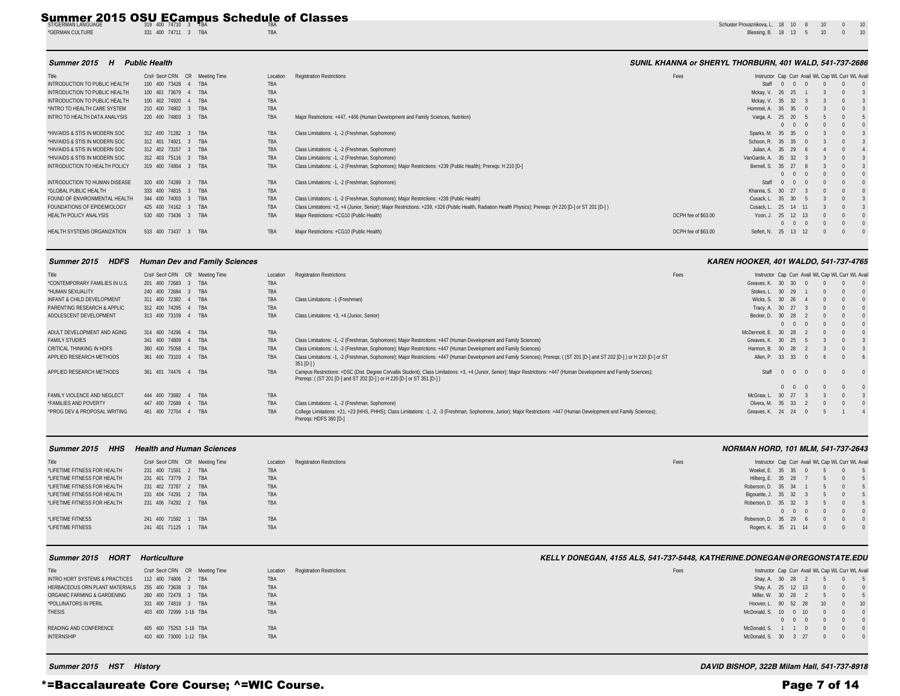Schuster Provaznikova, L. 18 10 8 10 0 10 \*GERMAN CULTURE 331 400 74711 3 TBA TBA TBA TBA TBA Blessing, B. 18 13 5 10 0 10

### *Summer 2015 H Public Health SUNIL KHANNA or SHERYL THORBURN, 401 WALD, 541-737-2686*

| Title                          | Crs# Sec# CRN CR Meeting Time | Location   | <b>Registration Restrictions</b>                                                                                                                            | Fees                | Instructor Cap Curr Avail WL Cap WL Curr WL Avai |  |
|--------------------------------|-------------------------------|------------|-------------------------------------------------------------------------------------------------------------------------------------------------------------|---------------------|--------------------------------------------------|--|
| INTRODUCTION TO PUBLIC HEALTH  | 100 400 73428<br>4 TBA        | TBA        |                                                                                                                                                             |                     | Staff<br>$\sqrt{ }$<br>$^{\circ}$                |  |
| INTRODUCTION TO PUBLIC HEALTH  | 100 401 73679<br>4 TBA        | <b>TBA</b> |                                                                                                                                                             |                     | Mckay, V. 26 25                                  |  |
| INTRODUCTION TO PUBLIC HEALTH  | 100 402 74920<br><b>TRA</b>   | TBA        |                                                                                                                                                             |                     | Mckay, V. 35 32                                  |  |
| *INTRO TO HEALTH CARE SYSTEM   | 210 400 74802<br><b>TRA</b>   | TBA        |                                                                                                                                                             |                     | Hommel, A. 35<br>35                              |  |
| INTRO TO HEALTH DATA ANALYSIS  | 220 400 74803<br>3 TBA        | TBA        | Major Restrictions: +447, +466 (Human Development and Family Sciences, Nutrition)                                                                           |                     | Varga, A. 25 20 5                                |  |
|                                |                               |            |                                                                                                                                                             |                     | $0 \quad 0$<br>$\sqrt{ }$                        |  |
| *HIV/AIDS & STIS IN MODERN SOC | 312 400 71282 3 TBA           | TBA        | Class Limitations: -1, -2 (Freshman, Sophomore)                                                                                                             |                     | Sparks, M. 35 35                                 |  |
| *HIV/AIDS & STIS IN MODERN SOC | 312 401 74921 3 TBA           | TBA        |                                                                                                                                                             |                     | Schoon, R. 35 35                                 |  |
| *HIV/AIDS & STIS IN MODERN SOC | 312 402 73157<br>3 TBA        | TBA        | Class Limitations: -1, -2 (Freshman, Sophomore)                                                                                                             |                     | Julian, A. 35 29<br>-6                           |  |
| *HIV/AIDS & STIS IN MODERN SOC | 312 403 75116 3 TBA           | TBA        | Class Limitations: -1, -2 (Freshman, Sophomore)                                                                                                             |                     | VanGarde, A. 35 32                               |  |
| INTRODUCTION TO HEALTH POLICY  | 319 400 74804<br>3 TBA        | TBA        | Class Limitations: -1, -2 (Freshman, Sophomore); Major Restrictions: +239 (Public Health); Prereqs: H 210 [D-]                                              |                     | Bernell, S. 35 27                                |  |
|                                |                               |            |                                                                                                                                                             |                     | $0 \quad 0$<br>$\bigcap$                         |  |
| INTRODUCTION TO HUMAN DISEASE  | 320 400 74289<br>3 TBA        | TBA        | Class Limitations: -1, -2 (Freshman, Sophomore)                                                                                                             |                     | Staff<br>$^{\circ}$<br>$\sqrt{2}$                |  |
| *GLOBAL PUBLIC HEALTH          | 333 400 74815 3 TBA           | TBA        |                                                                                                                                                             |                     | Khanna, S. 30<br>27                              |  |
| FOUND OF ENVIRONMENTAL HEALTH  | 344 400 74003<br>3 TBA        | TBA        | Class Limitations: -1, -2 (Freshman, Sophomore); Major Restrictions: +239 (Public Health)                                                                   |                     | Cusack. L. 35 30<br>- 5                          |  |
| FOUNDATIONS OF EPIDEMIOLOGY    | 425 400 74162 3 TBA           | TBA        | Class Limitations: +3, +4 (Junior, Senior); Major Restrictions: +239, +326 (Public Health, Radiation Health Physics); Prereqs: (H 220 [D-] or ST 201 [D-] ) |                     | Cusack, L. 25 14 11                              |  |
| <b>HEALTH POLICY ANALYSIS</b>  | 530 400 73436 3 TBA           | TBA        | Major Restrictions: +CG10 (Public Health)                                                                                                                   | DCPH fee of \$63.00 | 25 12 13<br>Yoon, J.                             |  |
|                                |                               |            |                                                                                                                                                             |                     | $0 \quad 0$                                      |  |
| HEALTH SYSTEMS ORGANIZATION    | 533 400 73437<br>3 TBA        | TBA        | Major Restrictions: +CG10 (Public Health)                                                                                                                   | DCPH fee of \$63.00 | Seifert, N. 25 13 12                             |  |
|                                |                               |            |                                                                                                                                                             |                     |                                                  |  |

 *Summer 2015 HDFS Human Dev and Family Sciences KAREN HOOKER, 401 WALDO, 541-737-4765*

Title Crs# Sec# CRN CR Meeting Time Location Registration Restrictions Fees Fees Instructor Cap Curr Avail WL Cap WL Curr WL Avail \*CONTEMPORARY FAMILIES IN U.S. 201 400 72683 3 TBA TBA Greaves, K. 30 30 0 0 0 0 \*HUMAN SEXUALITY 240 400 72684 3 TBA TBA Stokes, L. 30 29 1 0 0 0 INFANT & CHILD DEVELOPMENT 311 400 72382 4 TBA Class Limitations: -1 (Freshman) Wicks, S. 30 26 4 0 0 0 0 0 0 0  $\text{PARENTING RESEARCH} \text{A} \text{APPLIC} \text{A} \text{PPLIC} \text{A} \text{B} \text{A} \text{B} \text{A} \text{C} \text{A} \text{B} \text{A} \text{D} \text{A} \text{C} \text{A} \text{A} \text{D} \text{A} \text{D} \text{A} \text{D} \text{A} \text{D} \text{A} \text{D} \text{A} \text{D} \text{A} \text{D} \text{A} \text{D} \text{A} \text{D} \text{A} \text{D} \text{A} \text{D} \text{A} \text{D} \text$ 313 400 73109 4 TBA Class Limitations: +3, +4 (Junior, Senior) Becker, D. 30 28 2 0 0 0 0 0 0 0 0 0 0 0<br>McDermott, E. 30 28 2 0 0 0 ADULT DEVELOPMENT AND AGING 314 400 74296 4 TBA 76 200 28 28 28 314 200 28 29 20 20 20 20 20 20 20 20 20 20 20 FAMILY STUDIES 341 400 74809 4 TBA Class Limitations: -1, -2 (Freshman, Sophomore); Major Restrictions: +447 (Human Development and Family Sciences) Controllers and Class Controllers, K. 30 25 5 3 0 3 CRITICAL THINKING IN HDFS 360 400 75058 4 TBA TBA Class Limitations: -1, -2 (Freshman, Sophomore); Major Restrictions: +447 (Human Development and Family Sciences) entertial strictions: +1 armon, B. 30 28 2 3 0 3 APPLIED RESEARCH METHODS 361 400 73103 4 TBA TEA TEA Class Limitations: -1, -2 (Freshman, Sophomore); Major Restrictions: +447 (Human Development and Family Sciences); Prereqs: ((ST 201 [D-] and ST 202 [D-] or H 220 [D-] o 351 [D-] ) Allen, P. 33 33 0 6 0 6 APPLIED RESEARCH METHODS 361 401 74476 4 TBA TBA TBA Campus Restrictions: +DSC (Dist. Degree Corvallis Student); Class Limitations: +3, +4 (Junior, Senior); Major Restrictions: +447 (Human Development and Family Sciences); Prereqs: ( (ST 201 [D-] and ST 202 [D-] ) or H 220 [D-] or ST 351 [D-] ) Staff 0 0 0 0 0 0 0 0 0 0 0 0 FAMILY VIOLENCE AND NEGLECT 444 400 73682 4 TBA TBA McGraw, L. 30 27 3 3 0 3 \*FAMILIES AND POVERTY 447 400 72689 4 TBA TBA Class Limitations: -1, -2 (Freshman, Sophomore)<br>^PROG DEV & PROPOSAL WRITING 461 400 72704 4 TRA TBA College Imitations: -1, -23 (HES): Class Limitations: -1, -2 3 (Freshman, S TBA College Limitations: +21, +23 (HHS, PHHS); Class Limitations: -1, -2, -3 (Freshman, Sophomore, Junior); Major Restrictions: +447 (Human Development and Family Sciences); Prereqs: HDFS 360 [D-] Greaves K. 24 24 0 5 1 4

| Summer 2015 HHS Health and Human Sciences |                               |  |          |     |
|-------------------------------------------|-------------------------------|--|----------|-----|
| Title                                     | Crs# Sec# CRN CR Meeting Time |  | Location | Rec |

| Title                        | Crs# Sec# CRN CR Meeting Time | <b>Registration Restrictions</b><br>Location | Fees | Instructor Cap Curr Avail WL Cap WL Curr WL Avai |
|------------------------------|-------------------------------|----------------------------------------------|------|--------------------------------------------------|
| *LIFETIME FITNESS FOR HEALTH | 231 400 71591 2 TBA           | TBA                                          |      | $0\qquad 5$<br>Woekel, E. 35 35 0                |
| *LIFETIME FITNESS FOR HEALTH | 231 401 73779 2 TBA           | <b>TBA</b>                                   |      | Hilberg, E. 35 28 7 5 0 5                        |
| *LIFETIME FITNESS FOR HEALTH | 231 402 73787 2 TBA           | <b>TBA</b>                                   |      | Roberson, D. 35 34 1 5 0 5                       |
| *LIFETIME FITNESS FOR HEALTH | 231 404 74291 2 TBA           | TBA                                          |      | Bigouette, J. 35 32 3 5 0 5                      |
| *LIFETIME FITNESS FOR HEALTH | 231 406 74292 2 TBA           | <b>TBA</b>                                   |      | Roberson, D. 35 32 3 5 0 5                       |
|                              |                               |                                              |      | $0\quad 0\quad 0\quad 0\quad 0\quad 0$           |
| *LIFETIME FITNESS            | 241 400 71592 1 TBA           | TBA                                          |      | Roberson, D. 35 29 6 0 0 0                       |
| *LIFETIME FITNESS            | 241 401 71125 1 TBA           | TBA                                          |      | Rogers, K. 35 21 14 0 0 0                        |
|                              |                               |                                              |      |                                                  |

### *Summer 2015 HORT Horticulture KELLY DONEGAN, 4155 ALS, 541-737-5448, KATHERINE.DONEGAN@OREGONSTATE.EDU*

| Title                                              | Crs# Sec# CRN CR Meeting Time | Location   | <b>Registration Restrictions</b> | Fees | Instructor Cap Curr Avail WL Cap WL Curr WL Avail |  |              |
|----------------------------------------------------|-------------------------------|------------|----------------------------------|------|---------------------------------------------------|--|--------------|
| <b>INTRO HORT SYSTEMS &amp; PRACTICES</b>          | 112 400 74806 2 TBA           | TBA        |                                  |      | Shay, A. 30 28 2                                  |  | $0\qquad 5$  |
| HERBACEOUS ORN PLANT MATERIALS 255 400 73638 3 TBA |                               | TBA        |                                  |      | Shay, A. 25 12 13 0                               |  | $0$ 0        |
| ORGANIC FARMING & GARDENING                        | 260 400 72478 3 TBA           | TBA        |                                  |      | Miller. W. 30 28 2                                |  | $0\qquad 5$  |
| *POLLINATORS IN PERIL                              | 331 400 74819 3 TBA           | TBA        |                                  |      | Hooven, L. 80 52 28 10                            |  | $0 \t 10$    |
| <b>THESIS</b>                                      | 403 400 72999 1-16 TBA        | TBA        |                                  |      | McDonald, S. 10 0 10                              |  | $0 \qquad 0$ |
|                                                    |                               |            |                                  |      |                                                   |  | $0 \qquad 0$ |
| READING AND CONFERENCE                             | 405 400 75253 1-16 TBA        | <b>TBA</b> |                                  |      | McDonald, S. 1 1                                  |  | $0\qquad 0$  |
| <b>INTERNSHIP</b>                                  | 410 400 73000 1-12 TBA        | TBA        |                                  |      | McDonald, S. 30 3 27                              |  | $\sqrt{0}$   |
|                                                    |                               |            |                                  |      |                                                   |  |              |

\*=Baccalaureate Core Course; ^=WIC Course. Page 7 of 14

# *Summer 2015 HST History DAVID BISHOP, 322B Milam Hall, 541-737-8918*

 *Summer 2015 HHS Health and Human Sciences NORMAN HORD, 101 MLM, 541-737-2643*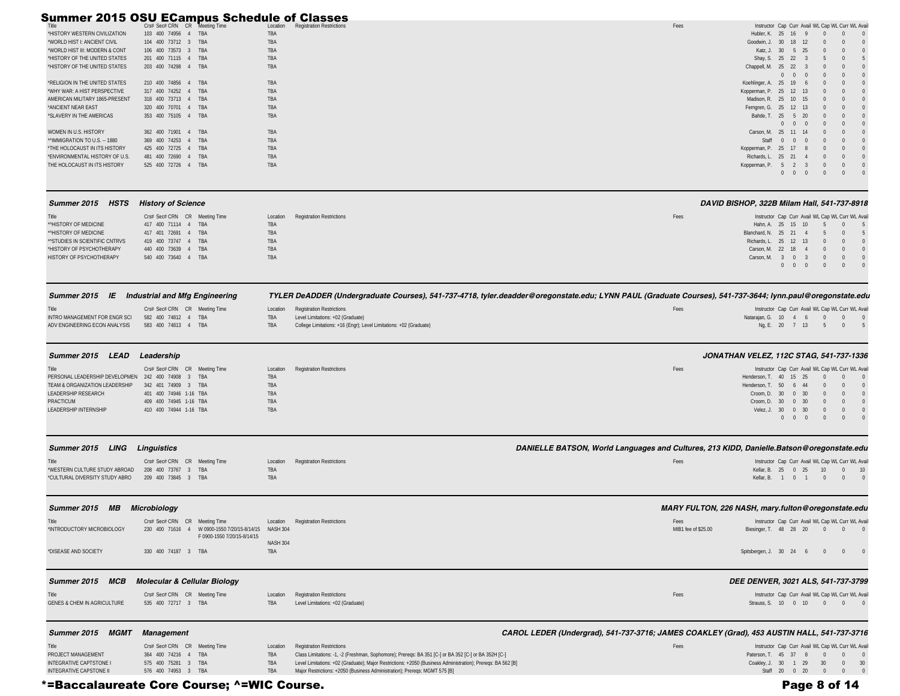|                                |                               | Summer 2015 USU EGampus Schedule of Glasses  |                                                           |
|--------------------------------|-------------------------------|----------------------------------------------|-----------------------------------------------------------|
|                                | Crs# Sec# CRN CR Meeting Time | <b>Registration Restrictions</b><br>Location | Fees<br>Instructor Cap Curr Avail WL Cap WL Curr WL Avail |
| *HISTORY WESTERN CIVILIZATION  | 103 400 74956<br>4 TBA        | <b>TBA</b>                                   | Hubler, K. 25 16                                          |
| *WORLD HIST I: ANCIENT CIVIL   | 104 400 73712 3 TBA           | <b>TBA</b>                                   | Goodwin, J. 30 18 12                                      |
| *WORLD HIST III: MODERN & CONT | 106 400 73573 3 TBA           | TBA                                          | Katz, J. 30 5 25                                          |
| *HISTORY OF THE UNITED STATES  | 201 400 71115 4 TBA           | <b>TBA</b>                                   | Shay, S. 25 22                                            |
| *HISTORY OF THE UNITED STATES  | 203 400 74298 4 TBA           | <b>TBA</b>                                   | Chappell, M. 25 22                                        |
|                                |                               |                                              | $0\quad 0$<br>- 0                                         |
| *RELIGION IN THE UNITED STATES | 210 400 74856<br>4 TBA        | TBA                                          | Koehlinger, A. 25 19                                      |
| *WHY WAR: A HIST PERSPECTIVE   | 317 400 74252<br>4 TBA        | TBA                                          | Kopperman, P. 25 12 13                                    |
| AMERICAN MILITARY 1865-PRESENT | 318 400 73713<br>4 TBA        | TBA                                          | Madison, R. 25 10 15                                      |
| *ANCIENT NEAR EAST             | 320 400 70701<br>4 TBA        | TBA                                          | Ferngren, G. 25 12 13                                     |
| *SLAVERY IN THE AMERICAS       | 353 400 75105 4 TBA           | TBA                                          | 25 5 20<br>Bahde, T.                                      |
|                                |                               |                                              | $0 \quad 0$<br>$\sqrt{ }$                                 |
| WOMEN IN U.S. HISTORY          | 362 400 71901 4 TBA           | <b>TBA</b>                                   | Carson, M. 25 11 14                                       |
| *^IMMIGRATION TO U.S. -- 1880  | 369 400 74253<br>4 TBA        | <b>TBA</b>                                   | Staff<br>$\sqrt{2}$                                       |
| *THE HOLOCAUST IN ITS HISTORY  | 425 400 72725<br>4 TBA        | TBA                                          | Kopperman, P. 25 17                                       |
| *ENVIRONMENTAL HISTORY OF U.S. | 481 400 72690 4 TBA           | <b>TBA</b>                                   | Richards, L. 25 21 4                                      |
| THE HOLOCAUST IN ITS HISTORY   | 525 400 72726 4 TBA           | TBA                                          | Kopperman, P. 5                                           |
|                                |                               |                                              | $\overline{0}$<br>$0\quad 0$                              |

| HSTS<br><b>Summer 2015</b>     | <b>History of Science</b>     |                                              |      | DAVID BISHOP, 322B Milam Hall, 541-737-8918       |
|--------------------------------|-------------------------------|----------------------------------------------|------|---------------------------------------------------|
| Title                          | Crs# Sec# CRN CR Meeting Time | <b>Registration Restrictions</b><br>Location | Fees | Instructor Cap Curr Avail WL Cap WL Curr WL Avail |
| *^HISTORY OF MEDICINE          | 417 400 71114 4 TBA           | TBA                                          |      | Hahn. A. 25 15 10 5 0 5                           |
| *^HISTORY OF MEDICINE          | 417 401 72691 4 TBA           | TBA                                          |      | Blanchard, N. 25 21 4 5 0 5                       |
| *^STUDIES IN SCIENTIFIC CNTRVS | 419 400 73747 4 TBA           | TBA                                          |      | Richards, L. 25 12 13 0 0 0                       |
| *HISTORY OF PSYCHOTHERAPY      | 440 400 73639 4 TBA           | TBA                                          |      | Carson. M. 22 18 4 0 0 0                          |
| HISTORY OF PSYCHOTHERAPY       | 540 400 73640 4 TBA           | TBA                                          |      | $0\qquad 0\qquad 0$<br>Carson. M. 3 0 3           |
|                                |                               |                                              |      | $\begin{matrix} 0 & 0 \end{matrix}$               |

|                               | Summer 2015 IE Industrial and Mfg Engineering |            | TYLER DeADDER (Undergraduate Courses), 541-737-4718, tyler.deadder@oregonstate.edu; LYNN PAUL (Graduate Courses), 541-737-3644; lynn.paul@oregonstate.edu |      |                                                   |
|-------------------------------|-----------------------------------------------|------------|-----------------------------------------------------------------------------------------------------------------------------------------------------------|------|---------------------------------------------------|
| Title                         | Crs# Sec# CRN CR Meeting Time                 |            | Location Registration Restrictions                                                                                                                        | Fees | Instructor Cap Curr Avail WL Cap WL Curr WL Avail |
| INTRO MANAGEMENT FOR ENGR SCI | 582 400 74812 4 TBA                           | TBA        | Level Limitations: +02 (Graduate)                                                                                                                         |      | Natarajan, G. 10 4 6 0 0 0                        |
| ADV ENGINEERING ECON ANALYSIS | 583 400 74813 4 TBA                           | <b>TBA</b> | College Limitations: +16 (Engr); Level Limitations: +02 (Graduate)                                                                                        |      | Ng, E. 20 7 13 5 0 5                              |
|                               |                                               |            |                                                                                                                                                           |      |                                                   |
|                               |                                               |            |                                                                                                                                                           |      |                                                   |

| LEAD<br><b>Summer 2015</b>                         | Leadership                    |                                              |      | <b>JONATHAN VELEZ, 112C STAG, 541-737-1336</b>    |
|----------------------------------------------------|-------------------------------|----------------------------------------------|------|---------------------------------------------------|
| Title                                              | Crs# Sec# CRN CR Meeting Time | <b>Registration Restrictions</b><br>Location | Fees | Instructor Cap Curr Avail WL Cap WL Curr WL Avail |
| PERSONAL LEADERSHIP DEVELOPMEN 242 400 74908 3 TBA |                               | <b>TBA</b>                                   |      | Henderson, T. 40 15 25 0<br>$0$ 0                 |
| TEAM & ORGANIZATION LEADERSHIP                     | 342 401 74909 3 TBA           | <b>TBA</b>                                   |      | Henderson, T. 50 6 44 0<br>$0\qquad 0$            |
| <b>LEADERSHIP RESEARCH</b>                         | 401 400 74946 1-16 TBA        | TBA                                          |      | Croom. D. 30 0 30<br>$0\qquad 0$                  |
| PRACTICUM                                          | 409 400 74945 1-16 TBA        | TBA                                          |      | Croom, D. 30 0 30<br>$0\qquad 0$                  |
| <b>LEADERSHIP INTERNSHIP</b>                       | 410 400 74944 1-16 TBA        | TBA                                          |      | Velez. J. 30 0 30<br>$0 \qquad 0$                 |
|                                                    |                               |                                              |      | $0\qquad 0$                                       |

| Summer 2015                                        | <b>LING Linguistics</b>       |                                    | DANIELLE BATSON, World Languages and Cultures, 213 KIDD, Danielle.Batson@oregonstate.edu |                                                   |
|----------------------------------------------------|-------------------------------|------------------------------------|------------------------------------------------------------------------------------------|---------------------------------------------------|
| Title                                              | Crs# Sec# CRN CR Meeting Time | Location Registration Restrictions | Fees                                                                                     | Instructor Cap Curr Avail WL Cap WL Curr WL Avail |
| *WESTERN CULTURE STUDY ABROAD 208 400 73767 3 TBA  |                               | TBA                                |                                                                                          | Kellar. B. 25 0 25 10 0 10                        |
| *CULTURAL DIVERSITY STUDY ABRO 209 400 73845 3 TBA |                               | <b>TBA</b>                         |                                                                                          | Kellar, B. 1 0 1 0 0 0 0                          |

| <b>Summer 2015</b>         | <b>MB</b> Microbiology                                                              |                                    |      | MARY FULTON, 226 NASH, mary.fulton@oregonstate.edu  |
|----------------------------|-------------------------------------------------------------------------------------|------------------------------------|------|-----------------------------------------------------|
| Title                      | Crs# Sec# CRN CR Meeting Time                                                       | Location Registration Restrictions | Fees | Instructor Cap Curr Avail WL Cap WL Curr WL Avai    |
| *INTRODUCTORY MICROBIOLOGY | 230 400 71616 4 W 0900-1550 7/20/15-8/14/15 NASH 304<br>F 0900-1550 7/20/15-8/14/15 |                                    |      | MIB1 fee of \$25.00<br>Biesinger, T. 48 28 20 0 0 0 |
|                            |                                                                                     | <b>NASH 304</b>                    |      |                                                     |
| *DISEASE AND SOCIETY       | 330 400 74187 3 TBA                                                                 | TBA                                |      | Spitsbergen, J. 30 24 6 0 0 0                       |

|                                                 | Summer 2015 MCB Molecular & Cellular Biology         |                                                                                       |      | DEE DENVER, 3021 ALS, 541-737-3799                                              |
|-------------------------------------------------|------------------------------------------------------|---------------------------------------------------------------------------------------|------|---------------------------------------------------------------------------------|
| Title<br><b>GENES &amp; CHEM IN AGRICULTURE</b> | Crs# Sec# CRN CR Meeting Time<br>535 400 72717 3 TBA | Location Registration Restrictions<br>Level Limitations: +02 (Graduate)<br><b>TRA</b> | Fees | Instructor Cap Curr Avail WL Cap WL Curr WL Avai<br>Strauss, S. 10 0 10 0 0 0 0 |
|                                                 |                                                      |                                                                                       |      |                                                                                 |

| Summer 2015 MGMT Management |                               |                                    | CAROL LEDER (Undergrad), 541-737-3716; JAMES COAKLEY (Grad), 453 AUSTIN HALL, 541-737-3716 |
|-----------------------------|-------------------------------|------------------------------------|--------------------------------------------------------------------------------------------|
|                             | Crs# Sec# CRN CR Meeting Time | Location Registration Restrictions | Instructor Cap Curr Avail WL Cap WL Curr WL Avail<br>Fees                                  |

|                         | Crs# Sec# CRN CR Meeting Time | Location Registration Restrictions                                                                          | Fees | Instructor Cap Curr Avail WL Cap WL Curr WL Avai |  |
|-------------------------|-------------------------------|-------------------------------------------------------------------------------------------------------------|------|--------------------------------------------------|--|
| PROJECT MANAGEMENT      | 364 400 74216 4 TBA           | Class Limitations: -1, -2 (Freshman, Sophomore); Prereqs: BA 351 [C-] or BA 352 [C-] or BA 352H [C-]        |      | Paterson. T. 45 37 8 0 0 0                       |  |
| INTEGRATIVE CAPTSTONE I | 575 400 75281 3 TBA           | Level Limitations: +02 (Graduate); Major Restrictions: +2050 (Business Administration); Preregs: BA 562 [B] |      | Coakley, J. 30 1 29 30 0 30                      |  |
| INTEGRATIVE CAPSTONE II | 576 400 74953 3 TBA           | Major Restrictions: +2050 (Business Administration); Preregs: MGMT 575 [B]                                  |      | Staff 20 0 20 0 0 0                              |  |

\*=Baccalaureate Core Course; ^=WIC Course. Page 8 of 14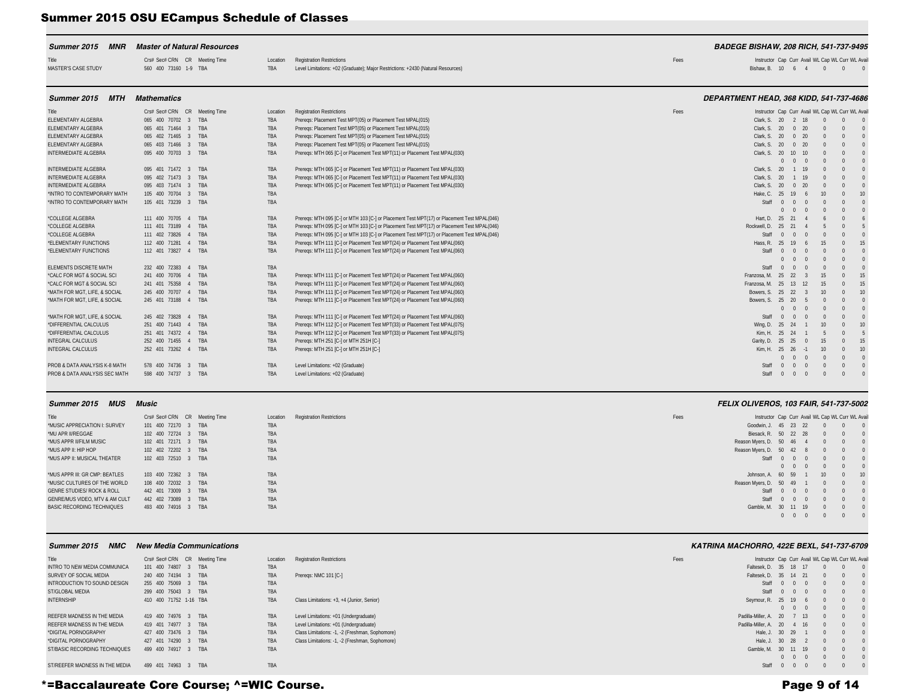| <b>Summer 2015</b>           | <b>MNR</b> Master of Natural Resources                 |                                                                                                                        |      | <b>BADEGE BISHAW, 208 RICH, 541-737-9495</b>                                |
|------------------------------|--------------------------------------------------------|------------------------------------------------------------------------------------------------------------------------|------|-----------------------------------------------------------------------------|
| Title<br>MASTER'S CASE STUDY | Crs# Sec# CRN CR Meeting Time<br>560 400 73160 1-9 TBA | Location Registration Restrictions<br>Level Limitations: +02 (Graduate); Major Restrictions: +2430 (Natural Resources) | Fees | Instructor Cap Curr Avail WL Cap WL Curr WL Avai<br>Bishaw. B. 10 6 4 0 0 0 |

# *Summer 2015 MTH Mathematics DEPARTMENT HEAD, 368 KIDD, 541-737-4686*

| JUINNEL ZUIJ MIII<br>maurchiaucs |                                 |            |            | <b>DLFAILIMLNI IILAD, 300 NIDD, 341-131-4000</b>                                            |                                                                         |          |
|----------------------------------|---------------------------------|------------|------------|---------------------------------------------------------------------------------------------|-------------------------------------------------------------------------|----------|
| Title                            | Crs# Sec# CRN CR Meeting Time   |            | Location   | <b>Registration Restrictions</b>                                                            | Fees<br>Instructor Cap Curr Avail WL Cap WL Curr WL Avail               |          |
| ELEMENTARY ALGEBRA               | 065 400 70702                   | 3 TBA      | TBA        | Preregs: Placement Test MPT(05) or Placement Test MPAL(015)                                 | Clark, S. 20<br>2 18<br>$\Omega$<br>$\Omega$                            |          |
| <b>ELEMENTARY ALGEBRA</b>        | 065 401 71464<br>$\mathbf{3}$   | <b>TBA</b> | TBA        | Prereqs: Placement Test MPT(05) or Placement Test MPAL(015)                                 | Clark, S. 20<br>$0$ 20<br>$\Omega$<br>$\Omega$                          |          |
| <b>ELEMENTARY ALGEBRA</b>        | 065 402 71465                   | 3 TBA      | TBA        | Prereqs: Placement Test MPT(05) or Placement Test MPAL(015)                                 | Clark, S. 20<br>$0\quad 20$<br>$\Omega$<br>$\Omega$                     |          |
| ELEMENTARY ALGEBRA               | 065 403 71466                   | 3 TBA      | TBA        | Prereqs: Placement Test MPT(05) or Placement Test MPAL(015)                                 | Clark, S. 20<br>$0$ 20<br>$\Omega$<br>$\Omega$                          |          |
| <b>INTERMEDIATE ALGEBRA</b>      | 095 400 70703 3 TBA             |            | TBA        | Prereqs: MTH 065 [C-] or Placement Test MPT(11) or Placement Test MPAL(030)                 | Clark, S. 20<br>10 10                                                   |          |
|                                  |                                 |            |            |                                                                                             | $\Omega$<br>$\Omega$<br>$\Omega$<br>$\Omega$                            |          |
| <b>INTERMEDIATE ALGEBRA</b>      | 095 401 71472                   | 3 TBA      | TBA        | Prereqs: MTH 065 [C-] or Placement Test MPT(11) or Placement Test MPAL(030)                 | Clark, S. 20<br><sup>19</sup><br>$\Omega$<br>$\Omega$                   |          |
| <b>INTERMEDIATE ALGEBRA</b>      | 095 402 71473                   | 3 TBA      | TBA        | Prereqs: MTH 065 [C-] or Placement Test MPT(11) or Placement Test MPAL(030)                 | Clark, S. 20<br>$1 \t19$<br>$\Omega$<br>$\sqrt{ }$                      |          |
| <b>INTERMEDIATE ALGEBRA</b>      | 095 403 71474 3 TBA             |            | TBA        | Prereqs: MTH 065 [C-] or Placement Test MPT(11) or Placement Test MPAL(030)                 | Clark, S. 20<br>$0\quad 20$<br>$\Omega$<br>$\Omega$                     |          |
| *INTRO TO CONTEMPORARY MATH      | 105 400 70704                   | 3 TBA      | TBA        |                                                                                             | Hake, C. 25<br>19<br>10<br>$\Omega$<br>- 6                              | 10       |
| *INTRO TO CONTEMPORARY MATH      | 105 401 73239                   | 3 TBA      | TBA        |                                                                                             | Staff<br>$\Omega$<br>$\Omega$<br>$\Omega$                               |          |
|                                  |                                 |            |            |                                                                                             | $\Omega$<br>$\Omega$<br>$\Omega$<br>$\Omega$                            |          |
| *COLLEGE ALGEBRA                 | 111 400 70705                   | 4 TRA      | TBA        | Prereqs: MTH 095 [C-] or MTH 103 [C-] or Placement Test MPT(17) or Placement Test MPAL(046) | Hart, D. 25 21<br>$\Omega$<br>-6                                        |          |
| *COLLEGE ALGEBRA                 | 111 401 73189                   | TBA        | TBA        | Prereqs: MTH 095 [C-] or MTH 103 [C-] or Placement Test MPT(17) or Placement Test MPAL(046) | Rockwell, D. 25 21<br>$\Omega$                                          |          |
| *COLLEGE ALGEBRA                 | 111 402 73826                   | TBA        | TBA        | Prereqs: MTH 095 [C-] or MTH 103 [C-] or Placement Test MPT(17) or Placement Test MPAL(046) | Staff<br>$\Omega$<br>$\Omega$<br>$\Omega$                               |          |
| *ELEMENTARY FUNCTIONS            | 112 400 71281                   | 4 TBA      | TBA        | Prereqs: MTH 111 [C-] or Placement Test MPT(24) or Placement Test MPAL(060)                 | Hass. R. 25<br>19<br>15<br>$\Omega$<br>6                                | 15       |
| *ELEMENTARY FUNCTIONS            | 112 401 73827                   | 4 TBA      | TBA        | Prereqs: MTH 111 [C-] or Placement Test MPT(24) or Placement Test MPAL(060)                 | Staff<br>$\Omega$<br>$\Omega$                                           |          |
|                                  |                                 |            |            |                                                                                             | $\Omega$<br>$\Omega$<br>$\Omega$                                        |          |
| <b>ELEMENTS DISCRETE MATH</b>    | 232 400 72383                   | TBA        | TBA        |                                                                                             | Staff<br>$\Omega$<br>$\Omega$<br>$\Omega$<br>$\sqrt{ }$                 |          |
| *CALC FOR MGT & SOCIAL SCI       | 241 400 70706                   | <b>TBA</b> | TBA        | Preregs: MTH 111 [C-] or Placement Test MPT(24) or Placement Test MPAL(060)                 | Franzosa, M.<br>25<br>22<br>15<br>$\mathcal{R}$                         | 15       |
| *CALC FOR MGT & SOCIAL SCI       | 241 401 75358<br>4              | TBA        | TBA        | Prereqs: MTH 111 [C-] or Placement Test MPT(24) or Placement Test MPAL(060)                 | 25<br>13 12<br>15<br>Franzosa, M.<br>$\Omega$                           | 15       |
| *MATH FOR MGT, LIFE, & SOCIAL    | 245 400 70707                   | 4 TRA      | TBA        | Prereqs: MTH 111 [C-] or Placement Test MPT(24) or Placement Test MPAL(060)                 | Bowers. S. 25 22 3<br>10<br>$\Omega$                                    | 10       |
| *MATH FOR MGT, LIFE, & SOCIAL    | 245 401 73188                   | 4 TBA      | TBA        | Prereqs: MTH 111 [C-] or Placement Test MPT(24) or Placement Test MPAL(060)                 | Bowers, S. 25 20<br>$\Omega$<br>- 5<br>$\Omega$                         |          |
|                                  |                                 |            |            |                                                                                             | $\overline{0}$<br>$\Omega$<br>$\Omega$<br>$\Omega$<br>$\Omega$          |          |
| *MATH FOR MGT. LIFE. & SOCIAL    | 245 402 73828<br>$\overline{4}$ | <b>TBA</b> | TBA        | Prereqs: MTH 111 [C-] or Placement Test MPT(24) or Placement Test MPAL(060)                 | Staff<br>$\Omega$<br>$\Omega$<br>$\Omega$<br>$\Omega$<br>$\Omega$       |          |
| *DIFFERENTIAL CALCULUS           | 251 400 71443                   | 4 TBA      | TBA        | Prereqs: MTH 112 [C-] or Placement Test MPT(33) or Placement Test MPAL(075)                 | Wing, D. 25 24<br>10<br>$\Omega$                                        | 10       |
| *DIFFERENTIAL CALCULUS           | 251 401 74372 4 TBA             |            | TBA        | Prereqs: MTH 112 [C-] or Placement Test MPT(33) or Placement Test MPAL(075)                 | Kim, H. 25 24 1<br>$\Omega$<br>- 5                                      |          |
| <b>INTEGRAL CALCULUS</b>         | 252 400 71455                   | 4 TBA      | TBA        | Preregs: MTH 251 [C-] or MTH 251H [C-]                                                      | Garity, D. 25 25<br>15<br>$\Omega$<br>$\overline{0}$                    | 15       |
| <b>INTEGRAL CALCULUS</b>         | 252 401 73262                   | 4 TBA      | TBA        | Prereqs: MTH 251 [C-] or MTH 251H [C-]                                                      | Kim, H. 25 26 -1<br>10<br>$\mathbf{0}$                                  | - 10     |
|                                  |                                 |            |            |                                                                                             | $\Omega$<br>$\Omega$<br>$\Omega$<br>$\Omega$                            | $\Omega$ |
| PROB & DATA ANALYSIS K-8 MATH    | 578 400 74736                   | 3 TBA      | <b>TBA</b> | Level Limitations: +02 (Graduate)                                                           | Staff<br>$\Omega$<br>$\Omega$<br>$\Omega$                               |          |
| PROB & DATA ANALYSIS SEC MATH    | 598 400 74737 3 TBA             |            | TBA        | Level Limitations: +02 (Graduate)                                                           | Staff<br>$\overline{0}$<br>$0\quad 0$<br>$\mathbf{0}$<br>$\overline{0}$ |          |
|                                  |                                 |            |            |                                                                                             |                                                                         |          |

| Title                                 | Crs# Sec# CRN CR Meeting Time | Location   | <b>Registration Restrictions</b> | Fees | Instructor Cap Curr Avail WL Cap WL Curr WL Avail |             |                     |          |              |          |
|---------------------------------------|-------------------------------|------------|----------------------------------|------|---------------------------------------------------|-------------|---------------------|----------|--------------|----------|
| *MUSIC APPRECIATION I: SURVEY         | 101 400 72170 3 TBA           | <b>TBA</b> |                                  |      | Goodwin, J. 45 23 22                              |             |                     |          | $0\qquad 0$  |          |
| *MU APR II/REGGAE                     | 102 400 72724 3 TBA           | TBA        |                                  |      | Biesack, R. 50 22 28                              |             |                     |          | $0\qquad 0$  |          |
| *MUS APPR II/FILM MUSIC               | 102 401 72171 3 TBA           | TBA        |                                  |      | Reason Myers, D. 50 46 4 0                        |             |                     |          | $0\qquad 0$  |          |
| *MUS APP II: HIP HOP                  | 102 402 72202 3 TBA           | TBA        |                                  |      | Reason Myers, D. 50 42 8 0                        |             |                     |          | $0\qquad 0$  |          |
| *MUS APP II: MUSICAL THEATER          | 102 403 72510 3 TBA           | TBA        |                                  |      |                                                   | Staff 0 0 0 |                     | $\sim$ 0 | $0\qquad 0$  |          |
|                                       |                               |            |                                  |      |                                                   |             | $0 \quad 0 \quad 0$ |          | $0 \qquad 0$ |          |
| *MUS APPR III: GR CMP: BEATLES        | 103 400 72362 3 TBA           | TBA        |                                  |      | Johnson, A. 60 59 1 10                            |             |                     |          | $0\qquad 10$ |          |
| *MUSIC CULTURES OF THE WORLD          | 108 400 72032 3 TBA           | TBA        |                                  |      | Reason Myers, D. 50 49 1                          |             |                     | $\sim$ 0 | $0\qquad 0$  |          |
| <b>GENRE STUDIES/ ROCK &amp; ROLL</b> | 442 401 73009 3 TBA           | TBA        |                                  |      |                                                   |             | Staff 0 0 0         | $\sim$ 0 | $0 \qquad 0$ |          |
| GENRE/MUS VIDEO. MTV & AM CULT        | 442 402 73089 3 TBA           | TBA        |                                  |      |                                                   | Staff 0 0 0 |                     |          |              | $\sim$ 0 |
| <b>BASIC RECORDING TECHNIQUES</b>     | 493 400 74916 3 TBA           | TBA        |                                  |      | Gamble, M. 30 11 19                               |             |                     |          |              |          |
|                                       |                               |            |                                  |      |                                                   |             | $0\quad 0\quad 0$   | $\Omega$ | $0 \qquad 0$ |          |

## *Summer 2015 NMC New Media Communications KATRINA MACHORRO, 422E BEXL, 541-737-6709*

| Title                          | Crs# Sec# CRN CR Meeting Time | Location   | <b>Registration Restrictions</b>                | Fees | Instructor Cap Curr Avail WL Cap WL Curr WL Avai |                     |                     |          |          |
|--------------------------------|-------------------------------|------------|-------------------------------------------------|------|--------------------------------------------------|---------------------|---------------------|----------|----------|
| INTRO TO NEW MEDIA COMMUNICA   | 101 400 74807 3 TBA           | TBA        |                                                 |      | Faltesek. D. 35 18 17                            |                     |                     |          | $\Omega$ |
| SURVEY OF SOCIAL MEDIA         | 240 400 74194 3 TBA           | TBA        | Preregs: NMC 101 [C-]                           |      | Faltesek. D. 35 14 21                            |                     |                     | $\Omega$ | $\Omega$ |
| INTRODUCTION TO SOUND DESIGN   | 255 400 75069 3 TBA           | TBA        |                                                 |      | Staff 0 0 0                                      |                     |                     | $\Omega$ | $\Omega$ |
| ST/GLOBAL MEDIA                | 299 400 75043 3 TBA           | TBA        |                                                 |      | Staff $0 \t 0 \t 0$                              |                     |                     |          | $\Omega$ |
| <b>INTERNSHIP</b>              | 410 400 71752 1-16 TBA        | <b>TBA</b> | Class Limitations: +3, +4 (Junior, Senior)      |      | Seymour, R. 25 19 6                              |                     |                     | $\Omega$ | $\Omega$ |
|                                |                               |            |                                                 |      |                                                  |                     | $0 \quad 0 \quad 0$ | $\Omega$ | $\sim$ 0 |
| REEFER MADNESS IN THE MEDIA    | 419 400 74976 3 TBA           | <b>TBA</b> | Level Limitations: +01 (Undergraduate)          |      | Padilla-Miller, A. 20 7 13                       |                     |                     |          | $\Omega$ |
| REEFER MADNESS IN THE MEDIA    | 419 401 74977 3 TBA           | <b>TBA</b> | Level Limitations: +01 (Undergraduate)          |      | Padilla-Miller, A. 20 4 16                       |                     |                     | $\Omega$ | $\Omega$ |
| *DIGITAL PORNOGRAPHY           | 427 400 73476 3 TBA           | <b>TBA</b> | Class Limitations: -1, -2 (Freshman, Sophomore) |      | Hale, J. 30 29                                   |                     |                     |          | $\Omega$ |
| *DIGITAL PORNOGRAPHY           | 427 401 74290 3 TBA           | <b>TBA</b> | Class Limitations: -1, -2 (Freshman, Sophomore) |      | Hale, J. 30 28 2                                 |                     |                     | $\Omega$ | $\Omega$ |
| ST/BASIC RECORDING TECHNIQUES  | 499 400 74917 3 TBA           | TBA        |                                                 |      | Gamble, M. 30 11 19                              |                     |                     |          | $\Omega$ |
|                                |                               |            |                                                 |      |                                                  | $0 \quad 0 \quad 0$ |                     |          | $\Omega$ |
| ST/REEFER MADNESS IN THE MEDIA | 499 401 74963 3 TBA           | TBA        |                                                 |      | Staff                                            | $0\quad 0\quad 0$   |                     |          | $\Omega$ |
|                                |                               |            |                                                 |      |                                                  |                     |                     |          |          |

# \*=Baccalaureate Core Course; ^=WIC Course. Page 9 of 14

## *Summer 2015 MUS Music FELIX OLIVEROS, 103 FAIR, 541-737-5002*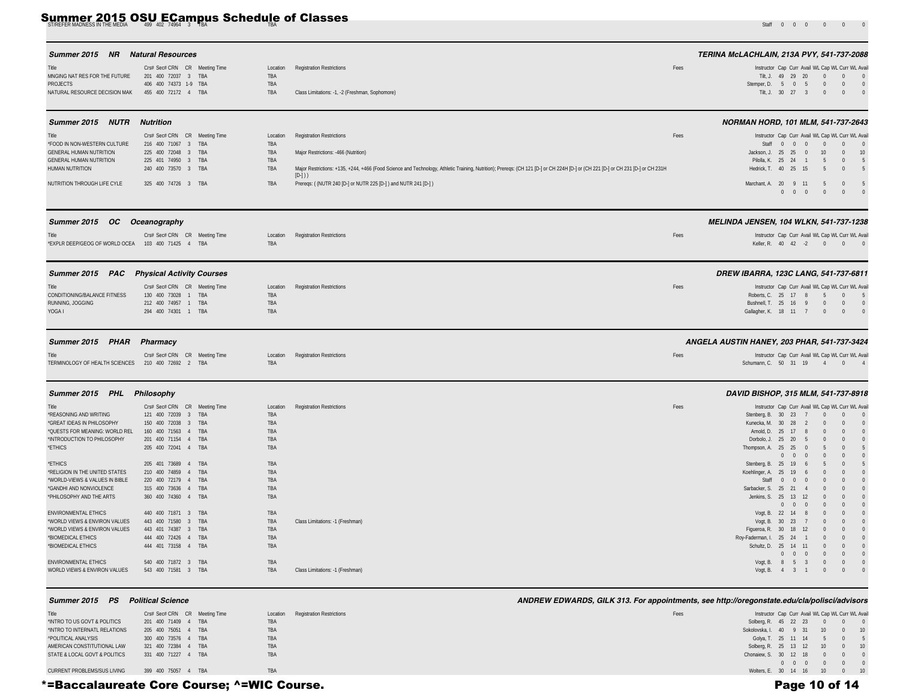# Summer 2015 OSU ECampus Schedule of Classes and the contract of the manufacture of the manufacture of the manufacture of the manufacture of the manufacture of the manufacture of the manufacture of the manufacture of the ma

### *Summer 2015 NR Natural Resources TERINA McLACHLAIN, 213A PVY, 541-737-2088*

|                                                   | Crs# Sec# CRN CR Meeting Time |     | Location Registration Restrictions              | Fees | Instructor Cap Curr Avail WL Cap WL Curr WL Avai |
|---------------------------------------------------|-------------------------------|-----|-------------------------------------------------|------|--------------------------------------------------|
| MNGING NAT RES FOR THE FUTURE 201 400 72037 3 TBA |                               |     |                                                 |      | Tilt. J. 49 29 20 0 0 0                          |
| PROJECTS                                          | 406 400 74373 1-9 TBA         |     |                                                 |      | Stemper, D. 5 0 5 0 0 0                          |
| NATURAL RESOURCE DECISION MAK 455 400 72172 4 TBA |                               | TBA | Class Limitations: -1, -2 (Freshman, Sophomore) |      | Tilt, J. 30 27 3 0 0 0                           |
|                                                   |                               |     |                                                 |      |                                                  |

### *Summer 2015 NUTR Nutrition NORMAN HORD, 101 MLM, 541-737-2643* Title Crs# Sec# CRN CR Meeting Time Location Registration Restrictions exactions and the cross of the Crs of Curr Avail WL Cap WL Curr WL Avail WL Cap WL Curr WL Avail WL Cap WL Curr WL Avail WL Cap WL Curr WL Avail WL Cap \*FOOD IN NON-WESTERN CULTURE 216 400 71067 3 TBA TBA Staff 0 0 0 0 0 0 GENERAL HUMAN NUTRITION 225 400 72048 3 TBA TBA Major Restrictions: -466 (Nutrition) Jackson, J. 25 25 0 10 0 10 SENERAL HUMAN NUTRITION 225 401 74950 3 TBA TBA TBA Major Restrictions: +135, +244, +466 (Food Science and Technology, Athletic Training, Nutrition); Prereqs: (CH121 [D-] or CH221 [D-] or CH221 [D-] or CH231 [D-] or CH231 Major Restrictions: +135, +244, +466 (Food Science and Technology, Athletic Training, Nutrition); Prereqs: (CH 121 [D-] or CH 224H [D-] or (CH 221 [D-] or CH 231 [D-] or CH 231 [D-] or CH 231 [D-]  $[D-]$ )) Hedrick, T. 40 25 15 5 0 5 NUTRITION THROUGH LIFE CYLE 325 400 74726 3 TBA Prereqs: ( (NUTR 240 [D-] or NUTR 225 [D-] ) and NUTR 241 [D-] ) 0 0 0 0 0 0

| Summer 2015 OC Oceanography                                      |                               |            |                                    |      | <b>MELINDA JENSEN, 104 WLKN, 541-737-1238</b>                                  |
|------------------------------------------------------------------|-------------------------------|------------|------------------------------------|------|--------------------------------------------------------------------------------|
| Title<br>*EXPLR DEEP/GEOG OF WORLD OCEA  103  400  71425  4  TBA | Crs# Sec# CRN CR Meeting Time | <b>TBA</b> | Location Registration Restrictions | Fees | Instructor Cap Curr Avail WL Cap WL Curr WL Avail<br>Keller, R. 40 42 -2 0 0 0 |

|                              | <b>Summer 2015 PAC Physical Activity Courses</b> |                                    | DREW IBARRA, 123C LANG, 541-737-6811                      |  |
|------------------------------|--------------------------------------------------|------------------------------------|-----------------------------------------------------------|--|
|                              | Crs# Sec# CRN CR Meeting Time                    | Location Registration Restrictions | Instructor Cap Curr Avail WL Cap WL Curr WL Avail<br>Fees |  |
| CONDITIONING/BALANCE FITNESS | 130 400 73028 1 TBA                              |                                    | Roberts, C. 25 17 8 5 0 5                                 |  |
| RUNNING, JOGGING             | 212 400 74957 1 TBA                              | TBA                                | Bushnell. T. 25 16 9 0 0 0                                |  |
| YOGA I                       | 294 400 74301 1 TBA                              |                                    | Gallagher, K. 18 11 7 0 0 0                               |  |
|                              |                                                  |                                    |                                                           |  |

| <b>Summer 2015</b><br>PHAR                         | Pharmacy                      |                                    |      | ANGELA AUSTIN HANEY. 203 PHAR. 541-737-3424       |
|----------------------------------------------------|-------------------------------|------------------------------------|------|---------------------------------------------------|
|                                                    | Crs# Sec# CRN CR Meeting Time | Location Registration Restrictions | Fees | Instructor Cap Curr Avail WL Cap WL Curr WL Avail |
| TERMINOLOGY OF HEALTH SCIENCES 210 400 72692 2 TBA |                               |                                    |      | Schumann. C. 50 31 19 4 0 4                       |

| Summer 2015<br>PHL             | Philosophy                    |          |                                  |      | <b>DAVID BISHOP, 315 MLM, 541-737-8918</b>        |  |                |
|--------------------------------|-------------------------------|----------|----------------------------------|------|---------------------------------------------------|--|----------------|
| Title                          | Crs# Sec# CRN CR Meeting Time | Location | <b>Registration Restrictions</b> | Fees | Instructor Cap Curr Avail WL Cap WL Curr WL Avail |  |                |
| *REASONING AND WRITING         | 121 400 72039<br>3 TBA        | TBA      |                                  |      | Stenberg, B. 30 23 7                              |  | $\overline{0}$ |
| *GREAT IDEAS IN PHILOSOPHY     | 150 400 72038<br>3 TBA        | TBA      |                                  |      | Kunecka, M. 30 28 2                               |  | $\overline{0}$ |
| *QUESTS FOR MEANING: WORLD REL | 160 400 71563<br>TBA          | TBA      |                                  |      | Arnold, D. 25 17 8                                |  | $\Omega$       |
| *INTRODUCTION TO PHILOSOPHY    | 201 400 71154<br>4 TBA        | TBA      |                                  |      | 25 20 5<br>Dorbolo, J.                            |  | $\Omega$       |
| *ETHICS                        | 205 400 72041 4 TBA           | TBA      |                                  |      | Thompson, A. 25 25 0                              |  |                |
|                                |                               |          |                                  |      | $0\quad 0$                                        |  | $\Omega$       |
| *ETHICS                        | 205 401 73689<br>4 TBA        | TBA      |                                  |      | Stenberg, B. 25 19 6                              |  |                |
| *RELIGION IN THE UNITED STATES | 210 400 74859<br><b>TBA</b>   | TBA      |                                  |      | Koehlinger, A. 25 19 6                            |  | $\Omega$       |
| *WORLD-VIEWS & VALUES IN BIBLE | 220 400 72179<br>4 TBA        | TBA      |                                  |      | Staff<br>$\Omega$<br>$\sqrt{2}$                   |  | $\Omega$       |
| *GANDHI AND NONVIOLENCE        | 315 400 73636<br>4 TBA        | TBA      |                                  |      | Sarbacker, S. 25 21                               |  | $\Omega$       |
| *PHILOSOPHY AND THE ARTS       | 360 400 74360 4 TBA           | TBA      |                                  |      | Jenkins, S. 25 13 12                              |  | $\overline{0}$ |
|                                |                               |          |                                  |      | $0\quad 0$                                        |  | $\Omega$       |
| ENVIRONMENTAL ETHICS           | 440 400 71871 3 TBA           | TBA      |                                  |      | Vogt, B. 22 14 8                                  |  | $\overline{0}$ |
| *WORLD VIEWS & ENVIRON VALUES  | 443 400 71580<br>3 TBA        | TBA      | Class Limitations: -1 (Freshman) |      | Vogt, B. 30 23                                    |  | $\overline{0}$ |
| *WORLD VIEWS & ENVIRON VALUES  | 443 401 74387<br>3 TBA        | TBA      |                                  |      | Figueroa, R. 30 18 12                             |  | $\Omega$       |
| *BIOMEDICAL ETHICS             | 444 400 72426<br>4 TBA        | TBA      |                                  |      | Roy-Faderman, I. 25 24                            |  | $\Omega$       |
| *BIOMEDICAL ETHICS             | 444 401 73158 4 TBA           | TBA      |                                  |      | Schultz, D. 25 14 11                              |  | $\Omega$       |
|                                |                               |          |                                  |      | $0 \quad 0$                                       |  | $\Omega$       |
| ENVIRONMENTAL ETHICS           | 540 400 71872 3 TBA           | TBA      |                                  |      | Vogt, B.<br>8 5 3                                 |  | $\Omega$       |
| WORLD VIEWS & ENVIRON VALUES   | 543 400 71581<br>3 TBA        | TBA      | Class Limitations: -1 (Freshman) |      | Vogt, B.<br>4 3 1                                 |  |                |

| Title                             | Crs# Sec# CRN CR Meeting Time | Location Registration Restrictions | Fees | Instructor Cap Curr Avail WL Cap WL Curr WL Avai |                                                     |  |  |
|-----------------------------------|-------------------------------|------------------------------------|------|--------------------------------------------------|-----------------------------------------------------|--|--|
| *INTRO TO US GOVT & POLITICS      | 201 400 71409 4 TBA           | <b>TBA</b>                         |      | Solberg, R. 45 22 23 0 0 0                       |                                                     |  |  |
| *INTRO TO INTERNATL RELATIONS     | 205 400 75051 4 TBA           | <b>TBA</b>                         |      | Sokolovska, I. 40 9 31 10 0 10                   |                                                     |  |  |
| <b><i>^POLITICAL ANALYSIS</i></b> | 300 400 73576 4 TBA           | TBA                                |      | Golya, T. 25 11 14 5 0 5                         |                                                     |  |  |
| AMERICAN CONSTITUTIONAL LAW       | 321 400 72384 4 TBA           | TBA                                |      | Solberg, R. 25 13 12 10 0 10                     |                                                     |  |  |
| STATE & LOCAL GOVT & POLITICS     | 331 400 71227 4 TBA           | TBA                                |      | Chonaiew, S. 30 12 18 0 0 0                      |                                                     |  |  |
|                                   |                               |                                    |      |                                                  | $\begin{matrix} 0 & 0 & 0 & 0 & 0 & 0 \end{matrix}$ |  |  |
| CURRENT PROBLEMS/SUS LIVING       | 399 400 75057 4 TBA           | <b>TBA</b>                         |      | Wolters. E. 30 14 16 10 0 10                     |                                                     |  |  |

# \*=Baccalaureate Core Course; ^=WIC Course. Page 10 of 14

# *Summer 2015 PS Political Science ANDREW EDWARDS, GILK 313. For appointments, see http://oregonstate.edu/cla/polisci/advisors*

| Instructor Cap Curr Avail WL Cap WL Curr WL Ava |          |          |          |          |          |                  |
|-------------------------------------------------|----------|----------|----------|----------|----------|------------------|
| Solberg, R. 45 22 23                            |          |          |          | $\Omega$ | 0        | $\Omega$         |
| Sokolovska, I. 40 9 31                          |          |          |          | 10       | 0        | 10 <sup>10</sup> |
| Golya, T. 25 11 14                              |          |          |          | 5        | $\Omega$ | 5                |
| Solberg, R. 25 13 12                            |          |          |          | 10       | 0        | 10 <sup>10</sup> |
| Chonaiew. S. 30 12 18                           |          |          |          | $\Omega$ | $\Omega$ | $\Omega$         |
|                                                 | $\Omega$ | $\Omega$ | $\Omega$ | $\Omega$ | 0        | $\Omega$         |
| Wolters, E.                                     | - 30     | 14       | 16       | 10       |          | 10 <sup>2</sup>  |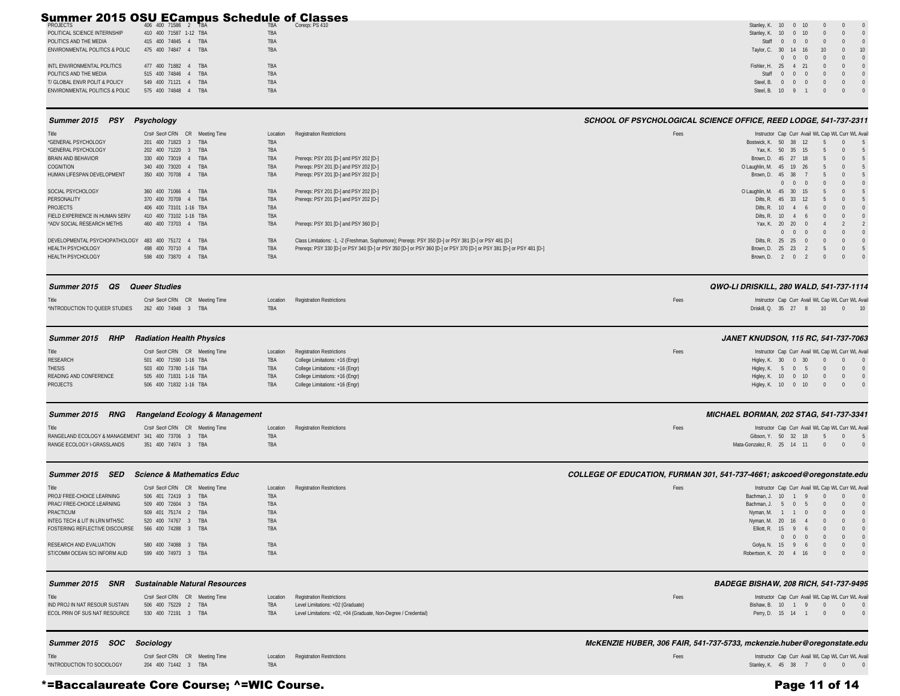| PROJECTS Coregs: PS 410 TO 406 400 71586 2 TBA |                        |            |  | Stanley, K. 10 0 10 0 0 0 0 |  |                 |                                        |  |
|------------------------------------------------|------------------------|------------|--|-----------------------------|--|-----------------|----------------------------------------|--|
| POLITICAL SCIENCE INTERNSHIP                   | 410 400 71587 1-12 TBA | <b>TBA</b> |  | Stanley, K. 10 0 10 0 0 0 0 |  |                 |                                        |  |
| POLITICS AND THE MEDIA                         | 415 400 74845 4 TBA    | TBA        |  |                             |  |                 | Staff 0 0 0 0 0 0                      |  |
| <b>ENVIRONMENTAL POLITICS &amp; POLIC</b>      | 475 400 74847 4 TBA    | TBA        |  | Taylor, C. 30 14 16 10 0 10 |  |                 |                                        |  |
|                                                |                        |            |  |                             |  |                 | $0\quad 0\quad 0\quad 0\quad 0\quad 0$ |  |
| INTL ENVIRONMENTAL POLITICS                    | 477 400 71882 4 TBA    | TBA        |  | Fishler. H. 25 4 21 0 0 0   |  |                 |                                        |  |
| POLITICS AND THE MEDIA                         | 515 400 74846 4 TBA    | TBA        |  |                             |  | Staff 0 0 0 0 0 | $0\qquad 0$                            |  |
| T/ GLOBAL ENVR POLIT & POLICY                  | 549 400 71121 4 TBA    | TBA        |  | Steel. B. 0 0 0             |  |                 | $0\qquad 0$                            |  |
| <b>ENVIRONMENTAL POLITICS &amp; POLIC</b>      | 575 400 74848 4 TBA    | TBA        |  | Steel. B. 10 9 1 0 0 0 0    |  |                 |                                        |  |
|                                                |                        |            |  |                             |  |                 |                                        |  |

### *Summer 2015 PSY Psychology SCHOOL OF PSYCHOLOGICAL SCIENCE OFFICE, REED LODGE, 541-737-2311*

| Title                                             | Crs# Sec# CRN CR Meeting Time | Location | <b>Registration Restrictions</b>                                                                                      | Fees | Instructor Cap Curr Avail WL Cap WL Curr WL Avail |             |                     |          |          |
|---------------------------------------------------|-------------------------------|----------|-----------------------------------------------------------------------------------------------------------------------|------|---------------------------------------------------|-------------|---------------------|----------|----------|
| *GENERAL PSYCHOLOGY                               | 201 400 71823 3 TBA           | TBA      |                                                                                                                       |      | Bostwick, K. 50 38 12                             |             |                     |          |          |
| *GENERAL PSYCHOLOGY                               | 202 400 71220 3 TBA           | TBA      |                                                                                                                       |      | Yax, K. 50 35 15                                  |             |                     |          |          |
| <b>BRAIN AND BEHAVIOR</b>                         | 330 400 73019 4 TBA           | TBA      | Preregs: PSY 201 [D-] and PSY 202 [D-]                                                                                |      | Brown, D. 45 27 18                                |             |                     |          |          |
| COGNITION                                         | 340 400 73020 4 TBA           | TBA      | Preregs: PSY 201 [D-] and PSY 202 [D-]                                                                                |      | O Laughlin, M. 45 19 26                           |             |                     |          |          |
| HUMAN LIFESPAN DEVELOPMENT                        | 350 400 70708 4 TBA           | TBA      | Preregs: PSY 201 [D-] and PSY 202 [D-]                                                                                |      | Brown, D. 45 38                                   |             |                     |          |          |
|                                                   |                               |          |                                                                                                                       |      |                                                   |             | $0 \quad 0 \quad 0$ | $\sim$ 0 | $\Omega$ |
| SOCIAL PSYCHOLOGY                                 | 360 400 71066 4 TBA           | TBA      | Preregs: PSY 201 [D-] and PSY 202 [D-]                                                                                |      | O Laughlin, M. 45 30 15                           |             |                     |          |          |
| PERSONALITY                                       | 370 400 70709 4 TBA           | TBA      | Preregs: PSY 201 [D-] and PSY 202 [D-]                                                                                |      | Dilts, R. 45 33 12                                |             |                     |          |          |
| <b>PROJECTS</b>                                   | 406 400 73101 1-16 TBA        | TBA      |                                                                                                                       |      | Dilts, R. 10 4 6                                  |             |                     |          |          |
| FIELD EXPERIENCE IN HUMAN SERV                    | 410 400 73102 1-16 TBA        | TBA      |                                                                                                                       |      | Dilts, R. 10 4 6                                  |             |                     |          | $\Omega$ |
| <b>ADV SOCIAL RESEARCH METHS</b>                  | 460 400 73703 4 TBA           | TBA      | Preregs: PSY 301 [D-] and PSY 360 [D-]                                                                                |      | Yax, K. 20 20 0                                   |             |                     |          |          |
|                                                   |                               |          |                                                                                                                       |      |                                                   | $0 \quad 0$ |                     |          | $\Omega$ |
| DEVELOPMENTAL PSYCHOPATHOLOGY 483 400 75172 4 TBA |                               | TBA      | Class Limitations: -1, -2 (Freshman, Sophomore); Prereqs: PSY 350 [D-] or PSY 381 [D-] or PSY 481 [D-]                |      | Dilts. R. 25 25 0                                 |             |                     | $\sim$ 0 | $\Omega$ |
| <b>HEALTH PSYCHOLOGY</b>                          | 498 400 70710 4 TBA           | TBA      | Preregs: PSY 330 [D-] or PSY 340 [D-] or PSY 350 [D-] or PSY 360 [D-] or PSY 370 [D-] or PSY 381 [D-] or PSY 481 [D-] |      | Brown, D. 25 23 2                                 |             |                     |          |          |
| <b>HEALTH PSYCHOLOGY</b>                          | 598 400 73870 4 TBA           | TBA      |                                                                                                                       |      | Brown, D.                                         |             | $0 \quad 2$         |          |          |
|                                                   |                               |          |                                                                                                                       |      |                                                   |             |                     |          |          |

### *Summer 2015 QS Queer Studies QWO-LI DRISKILL, 280 WALD, 541-737-1114*

| Title                                              | Crs# Sec# CRN CR Meeting Time |     | Location Registration Restrictions | Fees | Instructor Cap Curr Avail WL Cap WL Curr WL Avail |
|----------------------------------------------------|-------------------------------|-----|------------------------------------|------|---------------------------------------------------|
| *INTRODUCTION TO QUEER STUDIES 262 400 74948 3 TBA |                               | TBA |                                    |      | Driskill. Q. 35 27 8 10 0 10                      |

# *Summer 2015 RHP Radiation Health Physics JANET KNUDSON, 115 RC, 541-737-7063*

| Title                  | Crs# Sec# CRN CR Meeting Time |            | Location Registration Restrictions | Fees | Instructor Cap Curr Avail WL Cap WL Curr WL Avail |
|------------------------|-------------------------------|------------|------------------------------------|------|---------------------------------------------------|
| RESEARCH               | 501 400 71590 1-16 TBA        | <b>TBA</b> | College Limitations: +16 (Engr)    |      | Higley, K. 30 0 30 0 0 0                          |
| <b>THESIS</b>          | 503 400 73780 1-16 TBA        | <b>TBA</b> | College Limitations: +16 (Engr)    |      | Hialev. K. 5 0 5 0 0 0                            |
| READING AND CONFERENCE | 505 400 71831 1-16 TBA        | TBA        | College Limitations: +16 (Engr)    |      | Higley, K. 10 0 10 0 0 0                          |
| <b>PROJECTS</b>        | 506 400 71832 1-16 TBA        | TBA        | College Limitations: +16 (Engr)    |      | Higley, K. 10 0 10 0 0 0                          |

### *Summer 2015 RNG Rangeland Ecology & Management MICHAEL BORMAN, 202 STAG, 541-737-3341*

| Title                                              | Crs# Sec# CRN CR Meeting Time | Location Registration Restrictions | Fees | Instructor Cap Curr Avail WL Cap WL Curr WL Avai |  |  |
|----------------------------------------------------|-------------------------------|------------------------------------|------|--------------------------------------------------|--|--|
| RANGELAND ECOLOGY & MANAGEMENT 341 400 73706 3 TBA |                               | <b>TBA</b>                         |      | Gibson, Y. 50 32 18 5 0 5                        |  |  |
| RANGE ECOLOGY I-GRASSLANDS 351 400 74974 3 TBA     |                               |                                    |      | Mata-Gonzalez, R. 25 14 11 0 0                   |  |  |

| Title                          |         | Crs# Sec# CRN |               | <b>CR</b>     | Meeting Time | Location   |
|--------------------------------|---------|---------------|---------------|---------------|--------------|------------|
| PROJ/ FREE-CHOICE LEARNING     |         |               | 506 401 72419 | 3             | <b>TRA</b>   | <b>TRA</b> |
| PRAC/ EREE-CHOICE LEARNING     | 509     | 400           | 72604         | 3             | <b>TRA</b>   | <b>TRA</b> |
| PRACTICUM                      | 509     | 401           | 75174         | $\mathcal{P}$ | <b>TRA</b>   | <b>TRA</b> |
| INTEG TECH & LIT IN LRN MTH/SC | 520 400 |               | 74767         | 3             | <b>TRA</b>   | <b>TRA</b> |
| FOSTERING REELECTIVE DISCOURSE | 566 400 |               | 74288         | $\mathcal{R}$ | <b>TRA</b>   | <b>TRA</b> |
|                                |         |               |               |               |              |            |
| RESEARCH AND EVALUATION        | 580 400 |               | 74088         | 3             | <b>TRA</b>   | <b>TRA</b> |
| ST/COMM OCEAN SCLINEORM AUD    | 599     | 400           | 74973         |               | TRA          | <b>TRA</b> |
|                                |         |               |               |               |              |            |

### *Summer 2015 SED Science & Mathematics Educ COLLEGE OF EDUCATION, FURMAN 301, 541-737-4661; askcoed@oregonstate.edu*

| Title                                              | Crs# Sec# CRN CR Meeting Time | <b>Registration Restrictions</b><br>Location | Instructor Cap Curr Avail WL Cap WL Curr WL Avail<br>Fees |
|----------------------------------------------------|-------------------------------|----------------------------------------------|-----------------------------------------------------------|
| PROJ/ FREE-CHOICE LEARNING                         | 506 401 72419 3 TBA           | TBA                                          | Bachman, J. 10 1 9 0 0 0                                  |
| PRAC/ FREE-CHOICE LEARNING                         | 509 400 72604 3 TBA           | TBA                                          | Bachman, J. 5 0 5 0 0 0                                   |
| PRACTICUM                                          | 509 401 75174 2 TBA           | TBA                                          | Nyman, M. 1 1 0 0 0 0 0                                   |
| INTEG TECH & LIT IN LRN MTH/SC                     | 520 400 74767 3 TBA           | <b>TBA</b>                                   | Nyman, M. 20 16 4 0 0 0                                   |
| FOSTERING REFLECTIVE DISCOURSE 566 400 74288 3 TBA |                               | TBA                                          | Elliott. R. 15 9 6 0 0 0                                  |
|                                                    |                               |                                              | $0\qquad 0$<br>$0 \quad 0 \quad 0 \quad 0$                |
| RESEARCH AND EVALUATION                            | 580 400 74088 3 TBA           | <b>TBA</b>                                   | Golya, N. 15 9 6 0 0 0                                    |
| ST/COMM OCEAN SCI INFORM AUD                       | 599 400 74973 3 TBA           | <b>TBA</b>                                   | Robertson, K. 20 4 16 0 0 0                               |
|                                                    |                               |                                              |                                                           |

|                                | Summer 2015 SNR Sustainable Natural Resources |            |                                                                 |      | <b>BADEGE BISHAW, 208 RICH, 541-737-9495</b>     |
|--------------------------------|-----------------------------------------------|------------|-----------------------------------------------------------------|------|--------------------------------------------------|
|                                | Crs# Sec# CRN CR Meeting Time                 |            | Location Registration Restrictions                              | Fees | Instructor Cap Curr Avail WL Cap WL Curr WL Avai |
| IND PROJ IN NAT RESOUR SUSTAIN | 506 400 75229 2 TBA                           | <b>TRA</b> | Level Limitations: +02 (Graduate)                               |      | Bishaw. B. 10 1 9 0 0 0                          |
| ECOL PRIN OF SUS NAT RESOURCE  | 530 400 72191 3 TBA                           | <b>TBA</b> | Level Limitations: +02, +04 (Graduate, Non-Degree / Credential) |      | Perry, D. 15 14 1 0 0 0                          |

| Title                      |  |                 | Crs# Sec# CRN CR Meeting Time |
|----------------------------|--|-----------------|-------------------------------|
| *INTRODUCTION TO SOCIOLOGY |  | 204 400 71442 3 |                               |

### *Summer 2015 SOC Sociology McKENZIE HUBER, 306 FAIR, 541-737-5733, mckenzie.huber@oregonstate.edu*

 Title Crs# Sec# CRN CR Meeting Time Location Registration Restrictions Fees Instructor Cap Curr Avail WL Cap WL Curr WL Avail \*INTRODUCTION TO SOCIOLOGY 204 400 71442 3 TBA TBA Stanley, K. 45 38 7 0 0 0

# \*=Baccalaureate Core Course; ^=WIC Course. Page 11 of 14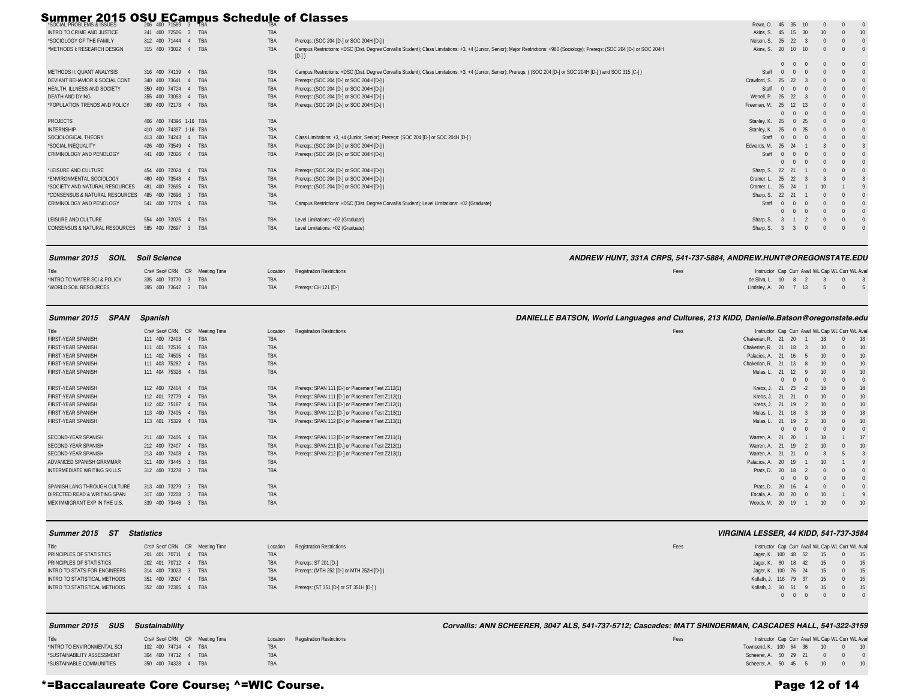| SOCIAL PROBLEMS & ISSUES                 |                                        | $\frac{1}{206}$ 400 71589 3 HBA UU UU UU BA |                                                                                                                                                                                              | Rowe. O. 45 35 10  |                |            |                 |  |
|------------------------------------------|----------------------------------------|---------------------------------------------|----------------------------------------------------------------------------------------------------------------------------------------------------------------------------------------------|--------------------|----------------|------------|-----------------|--|
| INTRO TO CRIME AND JUSTICE               | 241 400 72506<br>3 TBA                 | <b>TBA</b>                                  |                                                                                                                                                                                              | Akins. S. 45       | 15             | 30         | 10 <sup>1</sup> |  |
| *SOCIOLOGY OF THE FAMILY                 | 312 400 71444<br>TRA                   | TBA                                         | Preregs: (SOC 204 [D-] or SOC 204H [D-])                                                                                                                                                     | Nelson, S. 25      | 22             |            |                 |  |
| <b>METHODS I: RESEARCH DESIGN</b>        | 315 400 73022<br>4 TRA                 | <b>TBA</b>                                  | Campus Restrictions: +DSC (Dist. Degree Corvallis Student); Class Limitations: +3, +4 (Junior, Senior); Major Restrictions: +980 (Sociology); Preregs: (SOC 204 [D-] or SOC 204H<br>$[D-]$ ) | 20<br>Akins, S.    | 10 10          |            |                 |  |
|                                          |                                        |                                             |                                                                                                                                                                                              |                    | $0 \quad 0$    | $\sqrt{0}$ |                 |  |
| METHODS II: QUANT ANALYSIS               | 316 400 74139<br>4 TBA                 | TBA                                         | Campus Restrictions: +DSC (Dist. Degree Corvallis Student); Class Limitations: +3, +4 (Junior, Senior); Prereqs: ((SOC 204 [D-] or SOC 204H [D-]) and SOC 315 [C-])                          | Staff<br>$\Omega$  | $\Omega$       |            |                 |  |
| DEVIANT BEHAVIOR & SOCIAL CONT           | 340 400 73641<br>TRA                   | TBA                                         | Prereqs: (SOC 204 [D-] or SOC 204H [D-] )                                                                                                                                                    | 25<br>Crawford, S. | 22             |            |                 |  |
| HEALTH. ILLNESS AND SOCIETY              | 350 400 74724<br>TBA                   | TBA                                         | Prereqs: (SOC 204 [D-] or SOC 204H [D-] )                                                                                                                                                    | Staff<br>$\Omega$  | $\bigcap$      |            |                 |  |
| <b>DEATH AND DYING</b>                   | 355 400 73053<br>TBA                   | TBA                                         | Prereqs: (SOC 204 [D-] or SOC 204H [D-] )                                                                                                                                                    | Wenell, P.<br>25   | 22             |            |                 |  |
| *POPULATION TRENDS AND POLICY            | 360 400 72173 4 TBA                    | <b>TBA</b>                                  | Preregs: (SOC 204 [D-] or SOC 204H [D-] )                                                                                                                                                    | Freeman, M. 25     | 12 13          |            |                 |  |
|                                          |                                        |                                             |                                                                                                                                                                                              | $\Omega$           | $\sqrt{0}$     | $\bigcap$  | $\Omega$        |  |
| <b>PROJECTS</b>                          | 406 400 74396 1-16 TBA                 | TBA                                         |                                                                                                                                                                                              | Stanley, K. 25     | $\overline{0}$ | - 25       |                 |  |
| <b>INTERNSHIP</b>                        | 410 400 74397 1-16 TBA                 | TBA                                         |                                                                                                                                                                                              | 25<br>Stanley, K.  | $\mathbf{0}$   | - 25       |                 |  |
| SOCIOLOGICAL THEORY                      | 413 400 74243 4 TBA                    | TBA                                         | Class Limitations: +3, +4 (Junior, Senior); Preregs: (SOC 204 [D-] or SOC 204H [D-])                                                                                                         | Staff<br>$\Omega$  | $\Omega$       |            |                 |  |
| *SOCIAL INEQUALITY                       | 426 400 73549<br>4 TBA                 | TBA                                         | Prereqs: (SOC 204 [D-] or SOC 204H [D-] )                                                                                                                                                    | 25<br>Edwards, M.  | 24             |            |                 |  |
| <b>CRIMINOLOGY AND PENOLOGY</b>          | 441 400 72026<br>4 TBA                 | TBA                                         | Prereqs: (SOC 204 [D-] or SOC 204H [D-])                                                                                                                                                     | Staff<br>$\Omega$  | $\bigcap$      |            |                 |  |
|                                          |                                        |                                             |                                                                                                                                                                                              |                    | $0 \quad 0$    | $\sqrt{ }$ |                 |  |
| *LEISURE AND CULTURE                     | 454 400 72024<br>4 TRA                 | TBA                                         | Prereqs: (SOC 204 [D-] or SOC 204H [D-] )                                                                                                                                                    | Sharp, S. 22 21    |                |            |                 |  |
| *ENVIRONMENTAL SOCIOLOGY                 | 480 400 73548<br><b>TRA</b>            | TBA                                         | Prereqs: (SOC 204 [D-] or SOC 204H [D-] )                                                                                                                                                    | Cramer, L. 25      | 22             |            |                 |  |
| *SOCIETY AND NATURAL RESOURCES           | 481 400 72695<br>TRA                   | TBA                                         | Prereqs: (SOC 204 [D-] or SOC 204H [D-])                                                                                                                                                     | 25<br>Cramer, L.   | 24             |            | 10              |  |
| *CONSENSUS & NATURAL RESOURCES           | 485 400 72696<br>TRA<br>$\overline{3}$ | TBA                                         |                                                                                                                                                                                              | Sharp, S. 22 21    |                |            |                 |  |
| CRIMINOLOGY AND PENOLOGY                 | 541 400 72709<br>4 TBA                 | TBA                                         | Campus Restrictions: +DSC (Dist. Degree Corvallis Student); Level Limitations: +02 (Graduate)                                                                                                | Staff<br>$\Omega$  | $\bigcap$      |            |                 |  |
|                                          |                                        |                                             |                                                                                                                                                                                              |                    | $0 \quad 0$    | $\sqrt{ }$ |                 |  |
| LEISURE AND CULTURE                      | 554 400 72025<br>4 TBA                 | <b>TBA</b>                                  | Level Limitations: +02 (Graduate)                                                                                                                                                            | Sharp, S. 3        |                |            |                 |  |
| <b>CONSENSUS &amp; NATURAL RESOURCES</b> | 585 400 72697<br>3 TBA                 | TBA                                         | Level Limitations: +02 (Graduate)                                                                                                                                                            | Sharp, S.          | 3              |            |                 |  |
|                                          |                                        |                                             |                                                                                                                                                                                              |                    |                |            |                 |  |

## *Summer 2015 SOIL Soil Science ANDREW HUNT, 331A CRPS, 541-737-5884, ANDREW.HUNT@OREGONSTATE.EDU*

| Title                        | Crs# Sec# CRN CR Meeting Time | Location Registration Restrictions | Fees | Instructor Cap Curr Avail WL Cap WL Curr WL Avai |
|------------------------------|-------------------------------|------------------------------------|------|--------------------------------------------------|
| *INTRO TO WATER SCI & POLICY | 335 400 73770 3 TBA           |                                    |      | de Silva, L. 10 8 2 3 0 3                        |
| *WORLD SOIL RESOURCES        | 395 400 73642 3 TBA           | Preregs: CH 121 [D-]               |      | Lindsley, A. 20 7 13 5 0 5                       |
|                              |                               |                                    |      |                                                  |

### *Summer 2015 SPAN Spanish DANIELLE BATSON, World Languages and Cultures, 213 KIDD, Danielle.Batson@oregonstate.edu*

| Title                         | Crs# Sec# CRN CR Meeting Time |       | Location   | <b>Registration Restrictions</b>                 | Fees | Instructor Cap Curr Avail WL Cap WL Curr WL Avail |             |                |            |                |
|-------------------------------|-------------------------------|-------|------------|--------------------------------------------------|------|---------------------------------------------------|-------------|----------------|------------|----------------|
| <b>FIRST-YEAR SPANISH</b>     | 111 400 72403                 | 4 TBA | <b>TBA</b> |                                                  |      | Chakerian, R.<br>21                               | 20          |                |            | 18             |
| <b>FIRST-YEAR SPANISH</b>     | 111 401 72516 4 TBA           |       | <b>TBA</b> |                                                  |      | Chakerian, R. 21                                  | 18          |                | 10         | 10             |
| FIRST-YEAR SPANISH            | 111 402 74505 4 TBA           |       | TBA        |                                                  |      | Palacios, A. 21 16                                |             | -5             | 10         | 10             |
| <b>FIRST-YEAR SPANISH</b>     | 111 403 75282 4 TBA           |       | TBA        |                                                  |      | Chakerian, R. 21                                  | 13          |                | 10         | 10             |
| <b>FIRST-YEAR SPANISH</b>     | 111 404 75328 4 TBA           |       | TBA        |                                                  |      | Mulas, L.                                         | 21 12       | Q              | 10         | 10             |
|                               |                               |       |            |                                                  |      |                                                   | $0 \quad 0$ | $\Omega$       |            |                |
| <b>FIRST-YEAR SPANISH</b>     | 112 400 72404 4 TBA           |       | TBA        | Preregs: SPAN 111 [D-] or Placement Test Z112(1) |      | Krebs, J. 21 23                                   |             | $-2$           | 18         | 18             |
| FIRST-YEAR SPANISH            | 112 401 72779 4 TBA           |       | TBA        | Prereqs: SPAN 111 [D-] or Placement Test Z112(1) |      | Krebs, J. 21 21                                   |             | $\Omega$       |            | 10             |
| <b>FIRST-YEAR SPANISH</b>     | 112 402 75187                 | 4 TBA | <b>TBA</b> | Preregs: SPAN 111 [D-] or Placement Test Z112(1) |      | Krebs, J.                                         | 21 19       | $\overline{2}$ | 10         | 10             |
| <b>FIRST-YEAR SPANISH</b>     | 113 400 72405                 | 4 TBA | TBA        | Preregs: SPAN 112 [D-] or Placement Test Z113(1) |      | Mulas, L.                                         | 21 18       |                | 18         | 18             |
| FIRST-YEAR SPANISH            | 113 401 75329 4 TBA           |       | TBA        | Preregs: SPAN 112 [D-] or Placement Test Z113(1) |      | Mulas, L. 21 19 2                                 |             |                | 10         | 10             |
|                               |                               |       |            |                                                  |      |                                                   | $0 \quad 0$ | $\Omega$       |            | $\mathfrak{c}$ |
| SECOND-YEAR SPANISH           | 211 400 72406 4 TBA           |       | TBA        | Prereqs: SPAN 113 [D-] or Placement Test Z211(1) |      | Warren, A.                                        | 21 20       |                | 18         | 17             |
| SECOND-YEAR SPANISH           | 212 400 72407 4 TBA           |       | TBA        | Preregs: SPAN 211 [D-] or Placement Test Z212(1) |      | Warren, A. 21                                     | 19          | $\overline{2}$ | 10         | 10             |
| SECOND-YEAR SPANISH           | 213 400 72408 4 TBA           |       | TBA        | Prereqs: SPAN 212 [D-] or Placement Test Z213(1) |      | Warren, A. 21 21                                  |             | $\Omega$       |            |                |
| ADVANCED SPANISH GRAMMAR      | 311 400 73445 3 TBA           |       | TBA        |                                                  |      | Palacios, A.                                      | . 20 19     |                |            |                |
| INTERMEDIATE WRITING SKILLS   | 312 400 73278 3 TBA           |       | TBA        |                                                  |      | Prats, D. 20 18                                   |             |                |            |                |
|                               |                               |       |            |                                                  |      |                                                   | $0 \quad 0$ | $\Omega$       | $\sqrt{ }$ | $\sqrt{a}$     |
| SPANISH LANG THROUGH CULTURE  | 313 400 73279 3 TBA           |       | TBA        |                                                  |      | Prats, D. 20 16                                   |             |                |            | $\overline{c}$ |
| DIRECTED READ & WRITING SPAN  | 317 400 72208 3 TBA           |       | TBA        |                                                  |      | Escala, A. 20 20                                  |             |                | 10         |                |
| MEX IMMIGRANT EXP IN THE U.S. | 339 400 73446                 | 3 TBA | TBA        |                                                  |      | Woods, M.<br>20                                   | 19          |                | 10         | 10             |
|                               |                               |       |            |                                                  |      |                                                   |             |                |            |                |

### *Summer 2015 ST Statistics VIRGINIA LESSER, 44 KIDD, 541-737-3584*

| Title                        | Crs# Sec# CRN CR Meeting Time |            | Location Registration Restrictions       | Fees | Instructor Cap Curr Avail WL Cap WL Curr WL Avail |  |                                        |  |
|------------------------------|-------------------------------|------------|------------------------------------------|------|---------------------------------------------------|--|----------------------------------------|--|
| PRINCIPLES OF STATISTICS     | 201 401 70711 4 TBA           | <b>TBA</b> |                                          |      | Jager, K. 100 48 52 15 0 15                       |  |                                        |  |
| PRINCIPLES OF STATISTICS     | 202 401 70712 4 TBA           | <b>TBA</b> | Preregs: ST 201 [D-]                     |      | Jager, K. 60 18 42 15 0 15                        |  |                                        |  |
| INTRO TO STATS FOR ENGINEERS | 314 400 73023 3 TBA           | <b>TBA</b> | Preregs: (MTH 252 [D-] or MTH 252H [D-]) |      | Jager, K. 100 76 24 15 0 15                       |  |                                        |  |
| INTRO TO STATISTICAL METHODS | 351 400 72027 4 TBA           | <b>TBA</b> |                                          |      | Kollath, J. 116 79 37 15 0 15                     |  |                                        |  |
| INTRO TO STATISTICAL METHODS | 352 400 72385 4 TBA           | <b>TBA</b> | Preregs: (ST 351 [D-] or ST 351H [D-] )  |      | Kollath, J. 60 51 9 15 0 15                       |  |                                        |  |
|                              |                               |            |                                          |      |                                                   |  | $0\quad 0\quad 0\quad 0\quad 0\quad 0$ |  |

# *Summer 2015 SUS Sustainability Corvallis: ANN SCHEERER, 3047 ALS, 541-737-5712; Cascades: MATT SHINDERMAN, CASCADES HALL, 541-322-3159*

| Title                       | Crs# Sec# CRN CR Meeting Time | Location Registration Restrictions | Fees | Instructor Cap Curr Avail WL Cap WL Curr WL Avai |
|-----------------------------|-------------------------------|------------------------------------|------|--------------------------------------------------|
| *INTRO TO ENVIRONMENTAL SCI | 102 400 74714 4 TBA           |                                    |      | Townsend, K. 100 64 36 10 0 10                   |
| *SUSTAINABILITY ASSESSMENT  | 304 400 74712 4 TBA           |                                    |      | Scheerer A, 50 29 21 0 0 0                       |
| *SUSTAINABLE COMMUNITIES    | 350 400 74328 4 TBA           |                                    |      | Scheerer, A. 50 45 5 10 0 10                     |

# \*=Baccalaureate Core Course; ^=WIC Course. Page 12 of 14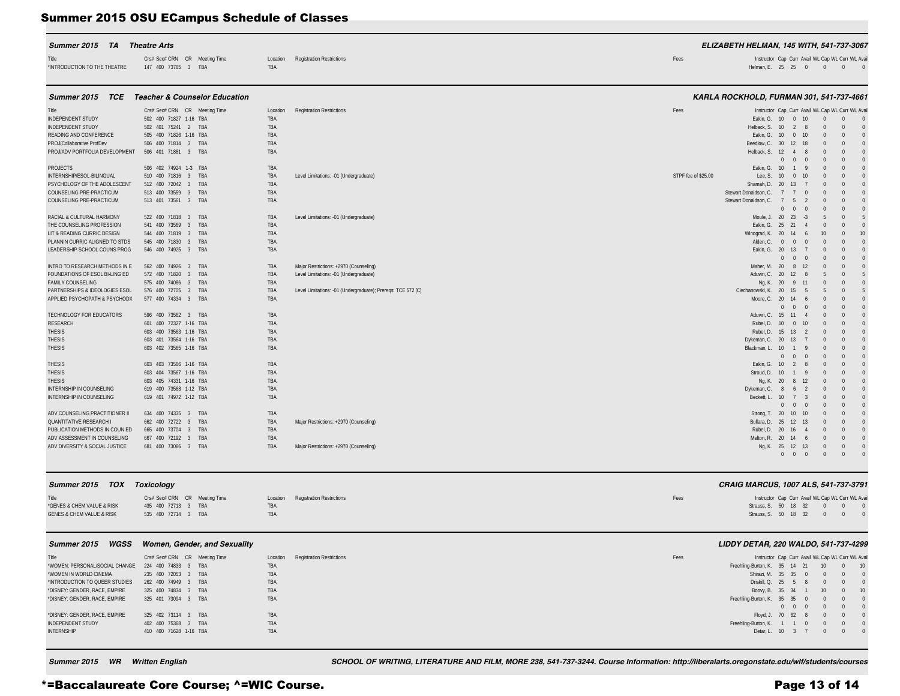| Summer 2015 TA Theatre Arts  |                               |                                    |      | ELIZABETH HELMAN. 145 WITH. 541-737-3067          |
|------------------------------|-------------------------------|------------------------------------|------|---------------------------------------------------|
| Title                        | Crs# Sec# CRN CR Meeting Time | Location Registration Restrictions | Fees | Instructor Cap Curr Avail WL Cap WL Curr WL Avail |
| *INTRODUCTION TO THE THEATRE | 147 400 73765 3 TBA           |                                    |      | Helman, E. 25 25 0 0 0 0 0                        |

| Summer 2015 TCE                | <b>Teacher &amp; Counselor Education</b> |          |                                                              |                     | KARLA ROCKHOLD, FURMAN 301, 541-737-4661            |                |                |                          |
|--------------------------------|------------------------------------------|----------|--------------------------------------------------------------|---------------------|-----------------------------------------------------|----------------|----------------|--------------------------|
| Title                          | Crs# Sec# CRN CR Meeting Time            | Location | <b>Registration Restrictions</b>                             | Fees                | Instructor Cap Curr Avail WL Cap WL Curr WL Avai    |                |                |                          |
| INDEPENDENT STUDY              | 502 400 71827 1-16 TBA                   | TBA      |                                                              |                     | Eakin, G. 10 0 10                                   | $\Omega$       | $\Omega$       | $\sqrt{ }$               |
| <b>INDEPENDENT STUDY</b>       | 502 401 75241 2 TBA                      | TBA      |                                                              |                     | Helback, S. 10<br>2 8                               | $\overline{0}$ | $\mathbf{0}$   | $\overline{0}$           |
| READING AND CONFERENCE         | 505 400 71826 1-16 TBA                   | TBA      |                                                              |                     | Eakin, G. 10 0 10                                   | $\overline{0}$ | $\Omega$       | $\overline{0}$           |
| PROJ/Collaborative ProfDev     | 506 400 71814 3 TBA                      | TBA      |                                                              |                     | Beedlow, C. 30 12 18                                | $\sqrt{ }$     | $\Omega$       | $\Omega$                 |
| PROJ/ADV PORTFOLIA DEVELOPMENT | 506 401 71881 3 TBA                      | TBA      |                                                              |                     | Helback, S. 12<br>4<br>8                            | $\sqrt{ }$     | $\Omega$       | $\Omega$                 |
|                                |                                          |          |                                                              |                     | $\overline{0}$<br>$0\qquad 0$                       | $\overline{0}$ | $\Omega$       | $\overline{0}$           |
| <b>PROJECTS</b>                | 506 402 74924 1-3 TBA                    | TBA      |                                                              |                     | Eakin, G. 10<br>$1 \quad 9$                         | $\overline{0}$ | $\Omega$       | $\overline{0}$           |
| INTERNSHIP/ESOL-BILINGUAL      | 510 400 71816 3 TBA                      | TBA      | Level Limitations: -01 (Undergraduate)                       | STPF fee of \$25.00 | Lee, S. 10<br>$0$ 10                                | $\Omega$       | $\Omega$       | $\Omega$                 |
| PSYCHOLOGY OF THE ADOLESCENT   | 512 400 72042 3 TBA                      | TBA      |                                                              |                     | Shamah, D. 20 13                                    | $\sqrt{ }$     | $\Omega$       | $\sqrt{ }$               |
| COUNSELING PRE-PRACTICUM       | 513 400 73559 3 TBA                      | TBA      |                                                              |                     | Stewart Donaldson, C.<br>$\overline{7}$<br>$\Omega$ | $\sqrt{ }$     | $\Omega$       | $\overline{0}$           |
| COUNSELING PRE-PRACTICUM       | 513 401 73561 3 TBA                      | TBA      |                                                              |                     | Stewart Donaldson, C.<br>7 5<br>$\overline{2}$      | $\sqrt{ }$     | $\Omega$       | $\overline{0}$           |
|                                |                                          |          |                                                              |                     | $0\qquad 0$<br>$\overline{0}$                       | $\overline{0}$ | $\Omega$       | $\sqrt{ }$               |
| RACIAL & CULTURAL HARMONY      | 522 400 71818 3 TBA                      | TBA      | Level Limitations: -01 (Undergraduate)                       |                     | Moule, J. 20 23 -3                                  | 5              | $\Omega$       | 5                        |
| THE COUNSELING PROFESSION      | 541 400 73569 3 TBA                      | TBA      |                                                              |                     | Eakin, G. 25 21 4                                   | $\overline{0}$ | $\Omega$       | $\overline{0}$           |
| LIT & READING CURRIC DESIGN    | 544 400 71819 3 TBA                      | TBA      |                                                              |                     | Winograd, K. 20 14 6                                | 10             | $\mathbf{0}$   | 10                       |
| PLANNIN CURRIC ALIGNED TO STDS | 545 400 71830 3 TBA                      | TBA      |                                                              |                     | Alden, C. 0<br>$\overline{0}$<br>$\overline{0}$     | $\overline{0}$ | $\Omega$       | $\Omega$                 |
| LEADERSHIP SCHOOL COUNS PROG   | 546 400 74925 3 TBA                      | TBA      |                                                              |                     | Eakin, G. 20 13 7                                   | $\overline{0}$ | $\Omega$       | $\overline{0}$           |
|                                |                                          |          |                                                              |                     | $0\quad 0\quad 0$                                   | $\overline{0}$ | $\Omega$       | $\overline{0}$           |
| INTRO TO RESEARCH METHODS IN E | 562 400 74926 3 TBA                      | TBA      | Major Restrictions: +2970 (Counseling)                       |                     | Maher, M. 20<br>12<br>8 <sup>8</sup>                | $\overline{0}$ | $\Omega$       | $\Omega$                 |
| FOUNDATIONS OF ESOL BI-LING ED | 572 400 71820 3 TBA                      | TBA      | Level Limitations: -01 (Undergraduate)                       |                     | Aduviri, C. 20 12 8                                 | -5             | $\Omega$       | 5                        |
| <b>FAMILY COUNSELING</b>       | 575 400 74086 3 TBA                      | TBA      |                                                              |                     | Ng, K. 20 9 11                                      | $\overline{0}$ | $\mathbf{0}$   | $\overline{0}$           |
| PARTNERSHIPS & IDEOLOGIES ESOL | 576 400 72705 3 TBA                      | TBA      | Level Limitations: -01 (Undergraduate); Prereqs: TCE 572 [C] |                     | Ciechanowski, K. 20 15 5                            | 5              | $\Omega$       | - 5                      |
| APPLIED PSYCHOPATH & PSYCHODX  | 577 400 74334 3 TBA                      | TBA      |                                                              |                     | Moore, C. 20<br>14<br>6                             | $\Omega$       | $\Omega$       | $\Omega$                 |
|                                |                                          |          |                                                              |                     | $0\quad 0\quad 0$                                   | $\overline{0}$ | $\Omega$       | $\overline{0}$           |
| TECHNOLOGY FOR EDUCATORS       | 596 400 73562 3 TBA                      | TBA      |                                                              |                     | Aduviri, C. 15 11 4                                 | $\sqrt{0}$     | $\Omega$       | $\overline{0}$           |
| RESEARCH                       | 601 400 72327 1-16 TBA                   | TBA      |                                                              |                     | Rubel, D. 10<br>$0$ 10                              | $\sqrt{ }$     | $\Omega$       | $\Omega$                 |
| <b>THESIS</b>                  | 603 400 73563 1-16 TBA                   | TBA      |                                                              |                     | Rubel, D. 15 13 2                                   | $\overline{0}$ | $\Omega$       | $\Omega$                 |
| THESIS                         | 603 401 73564 1-16 TBA                   | TBA      |                                                              |                     | Dykeman, C. 20 13 7                                 | $\overline{0}$ | $\mathbf{0}$   | $\overline{0}$           |
| <b>THESIS</b>                  | 603 402 73565 1-16 TBA                   | TBA      |                                                              |                     | Blackman, L. 10<br>1 9                              | $\Omega$       | $\Omega$       | $\overline{0}$           |
|                                |                                          |          |                                                              |                     | $0\qquad 0$<br>$\Omega$                             | $\sqrt{ }$     | $\Omega$       | $\overline{0}$           |
| <b>THESIS</b>                  | 603 403 73566 1-16 TBA                   | TBA      |                                                              |                     | Eakin, G. 10<br>$2 \quad 8$                         | $\overline{0}$ | $\Omega$       | $\overline{0}$           |
| <b>THESIS</b>                  | 603 404 73567 1-16 TBA                   | TBA      |                                                              |                     | Stroud, D. 10<br>$1 \quad 9$                        | $\mathbb O$    | $\Omega$       | $\overline{0}$           |
| <b>THESIS</b>                  | 603 405 74331 1-16 TBA                   | TBA      |                                                              |                     | Ng, K. 20 8 12                                      | $\overline{0}$ | $\Omega$       | $\overline{0}$           |
| INTERNSHIP IN COUNSELING       | 619 400 73568 1-12 TBA                   | TBA      |                                                              |                     | Dykeman, C.<br>6                                    |                | $\Omega$       | $\Omega$                 |
| INTERNSHIP IN COUNSELING       | 619 401 74972 1-12 TBA                   | TBA      |                                                              |                     | Beckett, L. 10<br>7 3                               | $\overline{0}$ | $\mathbf{0}$   | $\overline{0}$           |
|                                |                                          |          |                                                              |                     | $0\quad 0\quad 0$                                   | $\overline{0}$ | $\mathbf{0}$   | $\overline{0}$           |
| ADV COUNSELING PRACTITIONER II | 634 400 74335 3 TBA                      | TBA      |                                                              |                     | Strong, T. 20 10 10                                 | $\overline{0}$ | $\Omega$       | $\overline{0}$           |
| <b>QUANTITATIVE RESEARCH I</b> | 662 400 72722 3 TBA                      | TBA      | Major Restrictions: +2970 (Counseling)                       |                     | Bullara, D. 25 12 13                                | $\overline{0}$ | $\Omega$       | $\sqrt{ }$               |
| PUBLICATION METHODS IN COUN ED | 665 400 73704 3 TBA                      | TBA      |                                                              |                     | Rubel, D. 20 16 4                                   | $\overline{0}$ | $\Omega$       | $\overline{0}$           |
| ADV ASSESSMENT IN COUNSELING   | 667 400 72192 3 TBA                      | TBA      |                                                              |                     | Melton, R. 20 14 6                                  | $\overline{0}$ | $\overline{0}$ | $\overline{\phantom{0}}$ |
| ADV DIVERSITY & SOCIAL JUSTICE | 681 400 73086 3 TBA                      | TBA      | Major Restrictions: +2970 (Counseling)                       |                     | Ng, K. 25 12 13                                     | $\overline{0}$ | $\Omega$       | $\overline{0}$           |

| Summer 2015 TOX Toxicology               |                                                      |                                           | <b>CRAIG MARCUS, 1007 ALS, 541-737-3791</b>                                             |
|------------------------------------------|------------------------------------------------------|-------------------------------------------|-----------------------------------------------------------------------------------------|
| Title<br>*GENES & CHEM VALUE & RISK      | Crs# Sec# CRN CR Meeting Time<br>435 400 72713 3 TBA | Location Registration Restrictions<br>TBA | Instructor Cap Curr Avail WL Cap WL Curr WL Avail<br>Fees<br>Strauss, S. 50 18 32 0 0 0 |
| <b>GENES &amp; CHEM VALUE &amp; RISK</b> | 535 400 72714 3 TBA                                  | <b>TBA</b>                                | Strauss. S. 50 18 32 0 0 0                                                              |

| wass<br><b>Summer 2015</b>     | Women, Gender, and Sexuality  |                                              |      | LIDDY DETAR, 220 WALDO, 541-737-4299              |                     |                |              |  |
|--------------------------------|-------------------------------|----------------------------------------------|------|---------------------------------------------------|---------------------|----------------|--------------|--|
| Title                          | Crs# Sec# CRN CR Meeting Time | <b>Registration Restrictions</b><br>Location | Fees | Instructor Cap Curr Avail WL Cap WL Curr WL Avail |                     |                |              |  |
| *WOMEN: PERSONAL/SOCIAL CHANGE | 224 400 74833 3 TBA           | <b>TBA</b>                                   |      | Freehling-Burton, K. 35 14 21 10                  |                     |                | $0 \t 10$    |  |
| *WOMEN IN WORLD CINEMA         | 235 400 72053 3 TBA           | TBA                                          |      | Shirazi, M. 35 35 0                               |                     |                | $0\qquad 0$  |  |
| *INTRODUCTION TO QUEER STUDIES | 262 400 74949 3 TBA           | <b>TBA</b>                                   |      | Driskill. Q. 25 5 8                               |                     |                | $0\qquad 0$  |  |
| *DISNEY: GENDER, RACE, EMPIRE  | 325 400 74834 3 TBA           | <b>TBA</b>                                   |      | Boovy, B. 35 34 1 10                              |                     |                | $0$ 10       |  |
| *DISNEY: GENDER, RACE, EMPIRE  | 325 401 73094 3 TBA           | <b>TBA</b>                                   |      | Freehling-Burton, K. 35 35 0                      |                     | $\overline{0}$ | $0 \qquad 0$ |  |
|                                |                               |                                              |      |                                                   | $0 \quad 0 \quad 0$ |                | $0 \qquad 0$ |  |
| *DISNEY: GENDER, RACE, EMPIRE  | 325 402 73114 3 TBA           | TBA                                          |      | Floyd, J. 70 62 8                                 |                     |                | $0\qquad 0$  |  |
| <b>INDEPENDENT STUDY</b>       | 402 400 75368 3 TBA           | <b>TBA</b>                                   |      | Freehling-Burton, K.                              | $1 \quad 0$         |                | $0\qquad 0$  |  |
| <b>INTERNSHIP</b>              | 410 400 71628 1-16 TBA        | <b>TBA</b>                                   |      | Detar. L. 10 3 7                                  |                     |                | $0 \qquad 0$ |  |
|                                |                               |                                              |      |                                                   |                     |                |              |  |

 *Summer 2015 WR Written English SCHOOL OF WRITING, LITERATURE AND FILM, MORE 238, 541-737-3244. Course Information: http://liberalarts.oregonstate.edu/wlf/students/courses*

0 0 0 0 0 0